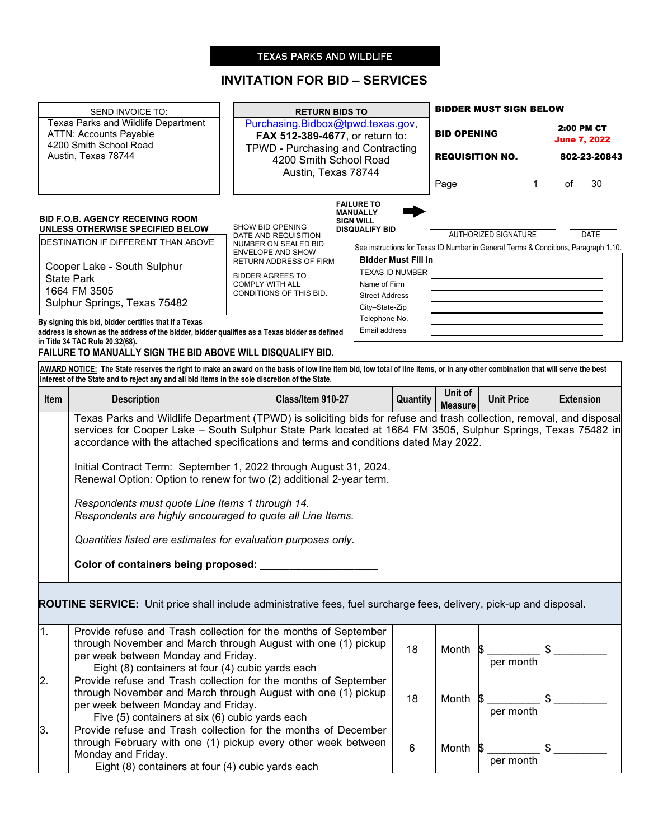# TEXAS PARKS AND WILDLIFE

# **INVITATION FOR BID – SERVICES**

|                  | SEND INVOICE TO:                                                                                                                                                                                                                                                                                                                                                  | <b>RETURN BIDS TO</b>                                                                                                               |                                           |                           | <b>BIDDER MUST SIGN BELOW</b> |                                                                                     |  |  |
|------------------|-------------------------------------------------------------------------------------------------------------------------------------------------------------------------------------------------------------------------------------------------------------------------------------------------------------------------------------------------------------------|-------------------------------------------------------------------------------------------------------------------------------------|-------------------------------------------|---------------------------|-------------------------------|-------------------------------------------------------------------------------------|--|--|
|                  | Texas Parks and Wildlife Department<br><b>ATTN: Accounts Payable</b><br>4200 Smith School Road<br>Austin, Texas 78744                                                                                                                                                                                                                                             | Purchasing.Bidbox@tpwd.texas.gov,<br>FAX 512-389-4677, or return to:<br>TPWD - Purchasing and Contracting<br>4200 Smith School Road |                                           | <b>BID OPENING</b>        | <b>REQUISITION NO.</b>        | 2:00 PM CT<br><b>June 7, 2022</b><br>802-23-20843                                   |  |  |
|                  |                                                                                                                                                                                                                                                                                                                                                                   | Austin, Texas 78744                                                                                                                 |                                           | Page                      | 1                             | 30<br>οf                                                                            |  |  |
|                  | <b>BID F.O.B. AGENCY RECEIVING ROOM</b>                                                                                                                                                                                                                                                                                                                           |                                                                                                                                     | <b>FAILURE TO</b><br><b>MANUALLY</b>      |                           |                               |                                                                                     |  |  |
|                  | <b>UNLESS OTHERWISE SPECIFIED BELOW</b>                                                                                                                                                                                                                                                                                                                           | SHOW BID OPENING<br>DATE AND REQUISITION                                                                                            | <b>SIGN WILL</b><br><b>DISQUALIFY BID</b> |                           | <b>AUTHORIZED SIGNATURE</b>   | <b>DATE</b>                                                                         |  |  |
|                  | DESTINATION IF DIFFERENT THAN ABOVE                                                                                                                                                                                                                                                                                                                               | NUMBER ON SEALED BID                                                                                                                | <b>ENVELOPE AND SHOW</b>                  |                           |                               | See instructions for Texas ID Number in General Terms & Conditions, Paragraph 1.10. |  |  |
|                  | Cooper Lake - South Sulphur                                                                                                                                                                                                                                                                                                                                       | RETURN ADDRESS OF FIRM                                                                                                              | <b>Bidder Must Fill in</b>                |                           |                               |                                                                                     |  |  |
|                  | <b>State Park</b>                                                                                                                                                                                                                                                                                                                                                 | <b>BIDDER AGREES TO</b><br><b>COMPLY WITH ALL</b>                                                                                   | TEXAS ID NUMBER<br>Name of Firm           |                           |                               |                                                                                     |  |  |
|                  | 1664 FM 3505                                                                                                                                                                                                                                                                                                                                                      | CONDITIONS OF THIS BID.                                                                                                             | <b>Street Address</b>                     |                           |                               |                                                                                     |  |  |
|                  | Sulphur Springs, Texas 75482                                                                                                                                                                                                                                                                                                                                      |                                                                                                                                     | City-State-Zip                            |                           |                               |                                                                                     |  |  |
|                  | By signing this bid, bidder certifies that if a Texas<br>address is shown as the address of the bidder, bidder qualifies as a Texas bidder as defined                                                                                                                                                                                                             |                                                                                                                                     | Telephone No.<br>Email address            |                           |                               |                                                                                     |  |  |
|                  | in Title 34 TAC Rule 20.32(68).                                                                                                                                                                                                                                                                                                                                   |                                                                                                                                     |                                           |                           |                               |                                                                                     |  |  |
|                  | FAILURE TO MANUALLY SIGN THE BID ABOVE WILL DISQUALIFY BID.                                                                                                                                                                                                                                                                                                       |                                                                                                                                     |                                           |                           |                               |                                                                                     |  |  |
|                  | AWARD NOTICE: The State reserves the right to make an award on the basis of low line item bid, low total of line items, or in any other combination that will serve the best<br>interest of the State and to reject any and all bid items in the sole discretion of the State.                                                                                    |                                                                                                                                     |                                           |                           |                               |                                                                                     |  |  |
| Item             | <b>Description</b>                                                                                                                                                                                                                                                                                                                                                | Class/Item 910-27                                                                                                                   | Quantity                                  | Unit of<br><b>Measure</b> | <b>Unit Price</b>             | <b>Extension</b>                                                                    |  |  |
|                  | Initial Contract Term: September 1, 2022 through August 31, 2024.<br>Renewal Option: Option to renew for two (2) additional 2-year term.<br>Respondents must quote Line Items 1 through 14.<br>Respondents are highly encouraged to quote all Line Items.<br>Quantities listed are estimates for evaluation purposes only.<br>Color of containers being proposed: |                                                                                                                                     |                                           |                           |                               |                                                                                     |  |  |
| 1.               | ROUTINE SERVICE: Unit price shall include administrative fees, fuel surcharge fees, delivery, pick-up and disposal.<br>Provide refuse and Trash collection for the months of September<br>through November and March through August with one (1) pickup<br>per week between Monday and Friday.                                                                    |                                                                                                                                     | 18                                        | Month \$                  | per month                     |                                                                                     |  |  |
| $\overline{2}$ . | Eight (8) containers at four (4) cubic yards each<br>Provide refuse and Trash collection for the months of September<br>through November and March through August with one (1) pickup<br>per week between Monday and Friday.<br>Five (5) containers at six (6) cubic yards each                                                                                   |                                                                                                                                     | 18                                        | Month                     | per month                     |                                                                                     |  |  |
| 3.               | Provide refuse and Trash collection for the months of December<br>through February with one (1) pickup every other week between<br>Monday and Friday.<br>Eight (8) containers at four (4) cubic yards each                                                                                                                                                        |                                                                                                                                     | 6                                         | Month \$                  | per month                     |                                                                                     |  |  |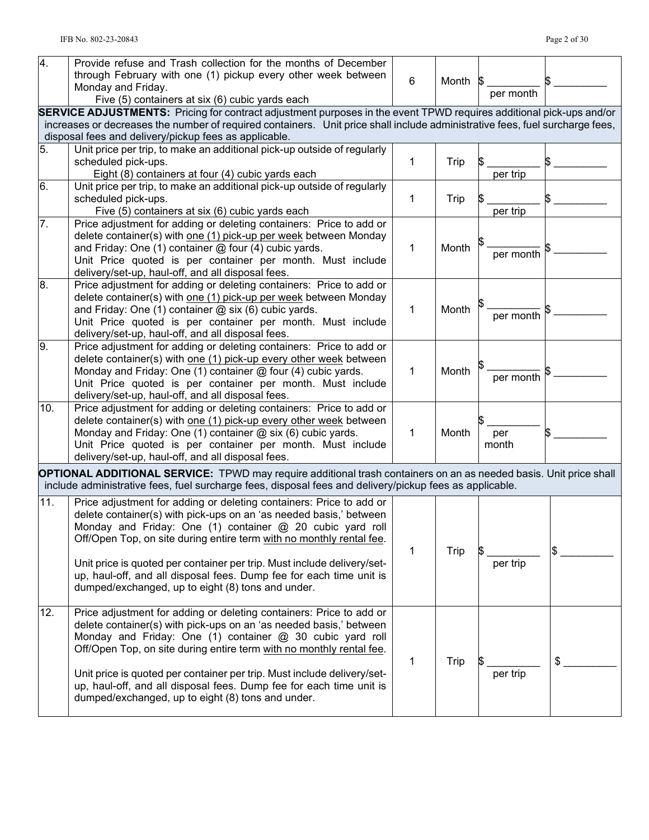| $\overline{4}$ . | Provide refuse and Trash collection for the months of December<br>through February with one (1) pickup every other week between<br>Monday and Friday.<br>Five (5) containers at six (6) cubic yards each                                                                                                                                                                                                                                                                              | 6 | Month | per month    |    |
|------------------|---------------------------------------------------------------------------------------------------------------------------------------------------------------------------------------------------------------------------------------------------------------------------------------------------------------------------------------------------------------------------------------------------------------------------------------------------------------------------------------|---|-------|--------------|----|
|                  | <b>SERVICE ADJUSTMENTS:</b> Pricing for contract adjustment purposes in the event TPWD requires additional pick-ups and/or<br>increases or decreases the number of required containers. Unit price shall include administrative fees, fuel surcharge fees,<br>disposal fees and delivery/pickup fees as applicable.                                                                                                                                                                   |   |       |              |    |
| 5.               | Unit price per trip, to make an additional pick-up outside of regularly<br>scheduled pick-ups.<br>Eight (8) containers at four (4) cubic yards each                                                                                                                                                                                                                                                                                                                                   | 1 | Trip  | per trip     |    |
| 6.               | Unit price per trip, to make an additional pick-up outside of regularly<br>scheduled pick-ups.<br>Five (5) containers at six (6) cubic yards each                                                                                                                                                                                                                                                                                                                                     | 1 | Trip  | per trip     |    |
| 7.               | Price adjustment for adding or deleting containers: Price to add or<br>delete container(s) with one (1) pick-up per week between Monday<br>and Friday: One (1) container @ four (4) cubic yards.<br>Unit Price quoted is per container per month. Must include<br>delivery/set-up, haul-off, and all disposal fees.                                                                                                                                                                   | 1 | Month | per month    |    |
| 8.               | Price adjustment for adding or deleting containers: Price to add or<br>delete container(s) with one (1) pick-up per week between Monday<br>and Friday: One (1) container $@$ six (6) cubic yards.<br>Unit Price quoted is per container per month. Must include<br>delivery/set-up, haul-off, and all disposal fees.                                                                                                                                                                  | 1 | Month | per month    |    |
| 9.               | Price adjustment for adding or deleting containers: Price to add or<br>delete container(s) with one (1) pick-up every other week between<br>Monday and Friday: One (1) container @ four (4) cubic yards.<br>Unit Price quoted is per container per month. Must include<br>delivery/set-up, haul-off, and all disposal fees.                                                                                                                                                           | 1 | Month | per month    |    |
| 10.              | Price adjustment for adding or deleting containers: Price to add or<br>delete container(s) with one (1) pick-up every other week between<br>Monday and Friday: One (1) container @ six (6) cubic yards.<br>Unit Price quoted is per container per month. Must include<br>delivery/set-up, haul-off, and all disposal fees.                                                                                                                                                            | 1 | Month | per<br>month |    |
|                  | <b>OPTIONAL ADDITIONAL SERVICE:</b> TPWD may require additional trash containers on an as needed basis. Unit price shall<br>include administrative fees, fuel surcharge fees, disposal fees and delivery/pickup fees as applicable.                                                                                                                                                                                                                                                   |   |       |              |    |
| 11.              | Price adjustment for adding or deleting containers: Price to add or<br>delete container(s) with pick-ups on an 'as needed basis,' between<br>Monday and Friday: One (1) container @ 20 cubic yard roll<br>Off/Open Top, on site during entire term with no monthly rental fee.<br>Unit price is quoted per container per trip. Must include delivery/set-<br>up, haul-off, and all disposal fees. Dump fee for each time unit is<br>dumped/exchanged, up to eight (8) tons and under. | 1 | Trip  | per trip     | \$ |
| 12.              | Price adjustment for adding or deleting containers: Price to add or<br>delete container(s) with pick-ups on an 'as needed basis,' between<br>Monday and Friday: One (1) container @ 30 cubic yard roll<br>Off/Open Top, on site during entire term with no monthly rental fee.<br>Unit price is quoted per container per trip. Must include delivery/set-<br>up, haul-off, and all disposal fees. Dump fee for each time unit is<br>dumped/exchanged, up to eight (8) tons and under. | 1 | Trip  | per trip     | \$ |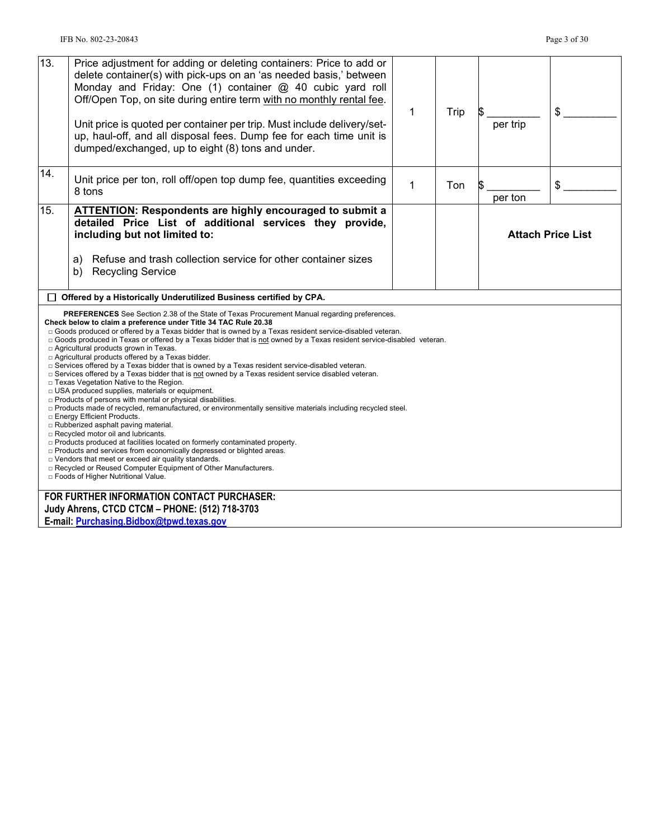| 13. | Price adjustment for adding or deleting containers: Price to add or<br>delete container(s) with pick-ups on an 'as needed basis,' between<br>Monday and Friday: One (1) container @ 40 cubic yard roll<br>Off/Open Top, on site during entire term with no monthly rental fee.<br>Unit price is quoted per container per trip. Must include delivery/set-<br>up, haul-off, and all disposal fees. Dump fee for each time unit is<br>dumped/exchanged, up to eight (8) tons and under.                                                                                                                                                                                                                                                                                                                                                                                                                                                                                                                                                                                                                                                                                                                                                                                                                                                                                                                                                                         | 1 | Trip | per trip | \$                       |
|-----|---------------------------------------------------------------------------------------------------------------------------------------------------------------------------------------------------------------------------------------------------------------------------------------------------------------------------------------------------------------------------------------------------------------------------------------------------------------------------------------------------------------------------------------------------------------------------------------------------------------------------------------------------------------------------------------------------------------------------------------------------------------------------------------------------------------------------------------------------------------------------------------------------------------------------------------------------------------------------------------------------------------------------------------------------------------------------------------------------------------------------------------------------------------------------------------------------------------------------------------------------------------------------------------------------------------------------------------------------------------------------------------------------------------------------------------------------------------|---|------|----------|--------------------------|
| 14. | Unit price per ton, roll off/open top dump fee, quantities exceeding<br>8 tons                                                                                                                                                                                                                                                                                                                                                                                                                                                                                                                                                                                                                                                                                                                                                                                                                                                                                                                                                                                                                                                                                                                                                                                                                                                                                                                                                                                | 1 | Ton  | per ton  | \$                       |
| 15. | <b>ATTENTION:</b> Respondents are highly encouraged to submit a<br>detailed Price List of additional services they provide,<br>including but not limited to:<br>Refuse and trash collection service for other container sizes<br>a)<br><b>Recycling Service</b><br>b)                                                                                                                                                                                                                                                                                                                                                                                                                                                                                                                                                                                                                                                                                                                                                                                                                                                                                                                                                                                                                                                                                                                                                                                         |   |      |          | <b>Attach Price List</b> |
|     | $\Box$ Offered by a Historically Underutilized Business certified by CPA.                                                                                                                                                                                                                                                                                                                                                                                                                                                                                                                                                                                                                                                                                                                                                                                                                                                                                                                                                                                                                                                                                                                                                                                                                                                                                                                                                                                     |   |      |          |                          |
|     | <b>PREFERENCES</b> See Section 2.38 of the State of Texas Procurement Manual regarding preferences.<br>Check below to claim a preference under Title 34 TAC Rule 20.38<br>□ Goods produced or offered by a Texas bidder that is owned by a Texas resident service-disabled veteran.<br>□ Goods produced in Texas or offered by a Texas bidder that is not owned by a Texas resident service-disabled veteran.<br>□ Agricultural products grown in Texas.<br>□ Agricultural products offered by a Texas bidder.<br>□ Services offered by a Texas bidder that is owned by a Texas resident service-disabled veteran.<br>$\Box$ Services offered by a Texas bidder that is not owned by a Texas resident service disabled veteran.<br>□ Texas Vegetation Native to the Region.<br>□ USA produced supplies, materials or equipment.<br>p Products of persons with mental or physical disabilities.<br>□ Products made of recycled, remanufactured, or environmentally sensitive materials including recycled steel.<br>□ Energy Efficient Products.<br>□ Rubberized asphalt paving material.<br>□ Recycled motor oil and lubricants.<br>□ Products produced at facilities located on formerly contaminated property.<br>□ Products and services from economically depressed or blighted areas.<br>□ Vendors that meet or exceed air quality standards.<br>□ Recycled or Reused Computer Equipment of Other Manufacturers.<br>□ Foods of Higher Nutritional Value. |   |      |          |                          |
|     | FOR FURTHER INFORMATION CONTACT PURCHASER:<br>Judy Ahrens, CTCD CTCM - PHONE: (512) 718-3703<br>E-mail: Purchasing.Bidbox@tpwd.texas.gov                                                                                                                                                                                                                                                                                                                                                                                                                                                                                                                                                                                                                                                                                                                                                                                                                                                                                                                                                                                                                                                                                                                                                                                                                                                                                                                      |   |      |          |                          |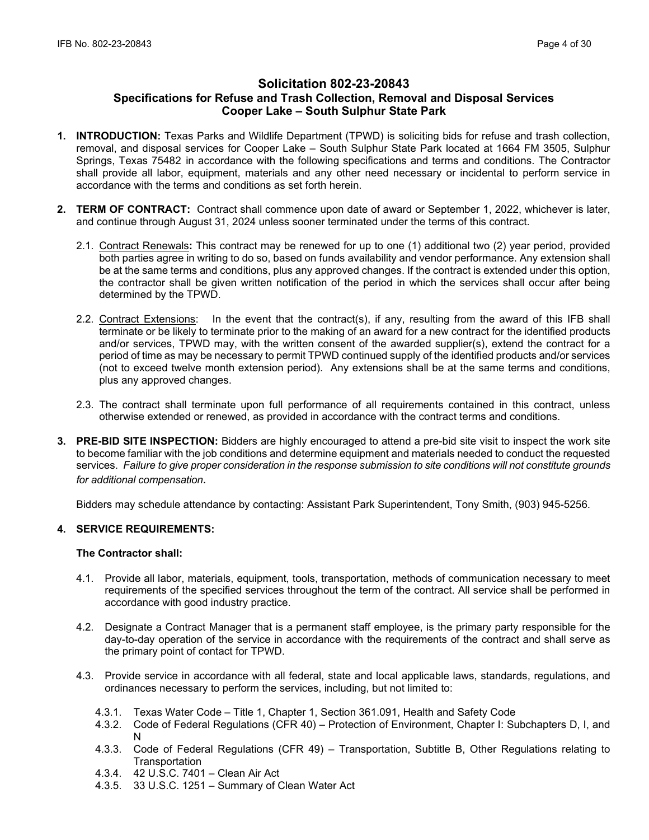# **Solicitation 802-23-20843 Specifications for Refuse and Trash Collection, Removal and Disposal Services Cooper Lake – South Sulphur State Park**

- **1. INTRODUCTION:** Texas Parks and Wildlife Department (TPWD) is soliciting bids for refuse and trash collection, removal, and disposal services for Cooper Lake – South Sulphur State Park located at 1664 FM 3505, Sulphur Springs, Texas 75482 in accordance with the following specifications and terms and conditions. The Contractor shall provide all labor, equipment, materials and any other need necessary or incidental to perform service in accordance with the terms and conditions as set forth herein.
- **2. TERM OF CONTRACT:** Contract shall commence upon date of award or September 1, 2022, whichever is later, and continue through August 31, 2024 unless sooner terminated under the terms of this contract.
	- 2.1. Contract Renewals**:** This contract may be renewed for up to one (1) additional two (2) year period, provided both parties agree in writing to do so, based on funds availability and vendor performance. Any extension shall be at the same terms and conditions, plus any approved changes. If the contract is extended under this option, the contractor shall be given written notification of the period in which the services shall occur after being determined by the TPWD.
	- 2.2. Contract Extensions: In the event that the contract(s), if any, resulting from the award of this IFB shall terminate or be likely to terminate prior to the making of an award for a new contract for the identified products and/or services, TPWD may, with the written consent of the awarded supplier(s), extend the contract for a period of time as may be necessary to permit TPWD continued supply of the identified products and/or services (not to exceed twelve month extension period). Any extensions shall be at the same terms and conditions, plus any approved changes.
	- 2.3. The contract shall terminate upon full performance of all requirements contained in this contract, unless otherwise extended or renewed, as provided in accordance with the contract terms and conditions.
- **3. PRE-BID SITE INSPECTION:** Bidders are highly encouraged to attend a pre-bid site visit to inspect the work site to become familiar with the job conditions and determine equipment and materials needed to conduct the requested services. *Failure to give proper consideration in the response submission to site conditions will not constitute grounds for additional compensation.*

Bidders may schedule attendance by contacting: Assistant Park Superintendent, Tony Smith, (903) 945-5256.

# **4. SERVICE REQUIREMENTS:**

# **The Contractor shall:**

- 4.1. Provide all labor, materials, equipment, tools, transportation, methods of communication necessary to meet requirements of the specified services throughout the term of the contract. All service shall be performed in accordance with good industry practice.
- 4.2. Designate a Contract Manager that is a permanent staff employee, is the primary party responsible for the day-to-day operation of the service in accordance with the requirements of the contract and shall serve as the primary point of contact for TPWD.
- 4.3. Provide service in accordance with all federal, state and local applicable laws, standards, regulations, and ordinances necessary to perform the services, including, but not limited to:
	- 4.3.1. Texas Water Code Title 1, Chapter 1, Section 361.091, Health and Safety Code
	- 4.3.2. Code of Federal Regulations (CFR 40) Protection of Environment, Chapter I: Subchapters D, I, and N
	- 4.3.3. Code of Federal Regulations (CFR 49) Transportation, Subtitle B, Other Regulations relating to Transportation
	- 4.3.4. 42 U.S.C. 7401 Clean Air Act
	- 4.3.5. 33 U.S.C. 1251 Summary of Clean Water Act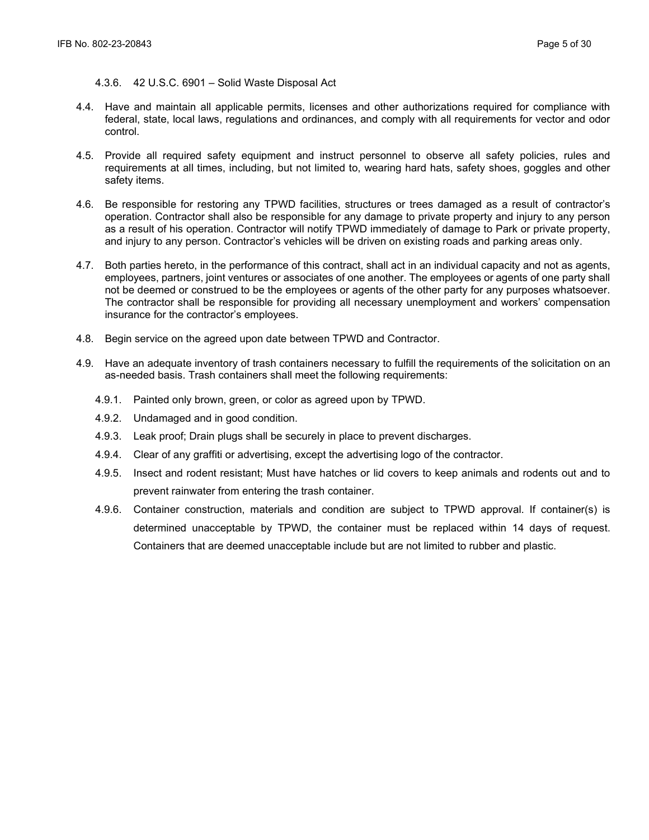#### 4.3.6. 42 U.S.C. 6901 – Solid Waste Disposal Act

- 4.4. Have and maintain all applicable permits, licenses and other authorizations required for compliance with federal, state, local laws, regulations and ordinances, and comply with all requirements for vector and odor control.
- 4.5. Provide all required safety equipment and instruct personnel to observe all safety policies, rules and requirements at all times, including, but not limited to, wearing hard hats, safety shoes, goggles and other safety items.
- 4.6. Be responsible for restoring any TPWD facilities, structures or trees damaged as a result of contractor's operation. Contractor shall also be responsible for any damage to private property and injury to any person as a result of his operation. Contractor will notify TPWD immediately of damage to Park or private property, and injury to any person. Contractor's vehicles will be driven on existing roads and parking areas only.
- 4.7. Both parties hereto, in the performance of this contract, shall act in an individual capacity and not as agents, employees, partners, joint ventures or associates of one another. The employees or agents of one party shall not be deemed or construed to be the employees or agents of the other party for any purposes whatsoever. The contractor shall be responsible for providing all necessary unemployment and workers' compensation insurance for the contractor's employees.
- 4.8. Begin service on the agreed upon date between TPWD and Contractor.
- 4.9. Have an adequate inventory of trash containers necessary to fulfill the requirements of the solicitation on an as-needed basis. Trash containers shall meet the following requirements:
	- 4.9.1. Painted only brown, green, or color as agreed upon by TPWD.
	- 4.9.2. Undamaged and in good condition.
	- 4.9.3. Leak proof; Drain plugs shall be securely in place to prevent discharges.
	- 4.9.4. Clear of any graffiti or advertising, except the advertising logo of the contractor.
	- 4.9.5. Insect and rodent resistant; Must have hatches or lid covers to keep animals and rodents out and to prevent rainwater from entering the trash container.
	- 4.9.6. Container construction, materials and condition are subject to TPWD approval. If container(s) is determined unacceptable by TPWD, the container must be replaced within 14 days of request. Containers that are deemed unacceptable include but are not limited to rubber and plastic.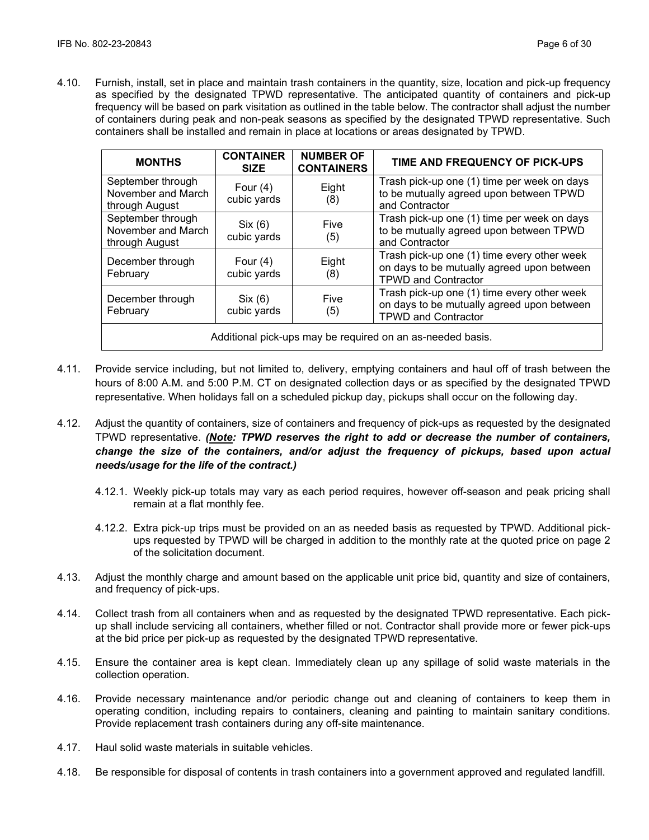4.10. Furnish, install, set in place and maintain trash containers in the quantity, size, location and pick-up frequency as specified by the designated TPWD representative. The anticipated quantity of containers and pick-up frequency will be based on park visitation as outlined in the table below. The contractor shall adjust the number of containers during peak and non-peak seasons as specified by the designated TPWD representative. Such containers shall be installed and remain in place at locations or areas designated by TPWD.

| <b>MONTHS</b>                                              | <b>CONTAINER</b><br><b>SIZE</b> | <b>NUMBER OF</b><br><b>CONTAINERS</b> | TIME AND FREQUENCY OF PICK-UPS                                                                                          |  |
|------------------------------------------------------------|---------------------------------|---------------------------------------|-------------------------------------------------------------------------------------------------------------------------|--|
| September through<br>November and March<br>through August  | Four $(4)$<br>cubic yards       | Eight<br>(8)                          | Trash pick-up one (1) time per week on days<br>to be mutually agreed upon between TPWD<br>and Contractor                |  |
| September through<br>November and March<br>through August  | Six (6)<br>cubic yards          | Five<br>(5)                           | Trash pick-up one (1) time per week on days<br>to be mutually agreed upon between TPWD<br>and Contractor                |  |
| December through<br>February                               | Four $(4)$<br>cubic yards       | Eight<br>(8)                          | Trash pick-up one (1) time every other week<br>on days to be mutually agreed upon between<br><b>TPWD and Contractor</b> |  |
| December through<br>February                               | Six (6)<br>cubic yards          | Five<br>(5)                           | Trash pick-up one (1) time every other week<br>on days to be mutually agreed upon between<br><b>TPWD and Contractor</b> |  |
| Additional pick-ups may be required on an as-needed basis. |                                 |                                       |                                                                                                                         |  |

- 4.11. Provide service including, but not limited to, delivery, emptying containers and haul off of trash between the hours of 8:00 A.M. and 5:00 P.M. CT on designated collection days or as specified by the designated TPWD representative. When holidays fall on a scheduled pickup day, pickups shall occur on the following day.
- 4.12. Adjust the quantity of containers, size of containers and frequency of pick-ups as requested by the designated TPWD representative. *(Note: TPWD reserves the right to add or decrease the number of containers, change the size of the containers, and/or adjust the frequency of pickups, based upon actual needs/usage for the life of the contract.)*
	- 4.12.1. Weekly pick-up totals may vary as each period requires, however off-season and peak pricing shall remain at a flat monthly fee.
	- 4.12.2. Extra pick-up trips must be provided on an as needed basis as requested by TPWD. Additional pickups requested by TPWD will be charged in addition to the monthly rate at the quoted price on page 2 of the solicitation document.
- 4.13. Adjust the monthly charge and amount based on the applicable unit price bid, quantity and size of containers, and frequency of pick-ups.
- 4.14. Collect trash from all containers when and as requested by the designated TPWD representative. Each pickup shall include servicing all containers, whether filled or not. Contractor shall provide more or fewer pick-ups at the bid price per pick-up as requested by the designated TPWD representative.
- 4.15. Ensure the container area is kept clean. Immediately clean up any spillage of solid waste materials in the collection operation.
- 4.16. Provide necessary maintenance and/or periodic change out and cleaning of containers to keep them in operating condition, including repairs to containers, cleaning and painting to maintain sanitary conditions. Provide replacement trash containers during any off-site maintenance.
- 4.17. Haul solid waste materials in suitable vehicles.
- 4.18. Be responsible for disposal of contents in trash containers into a government approved and regulated landfill.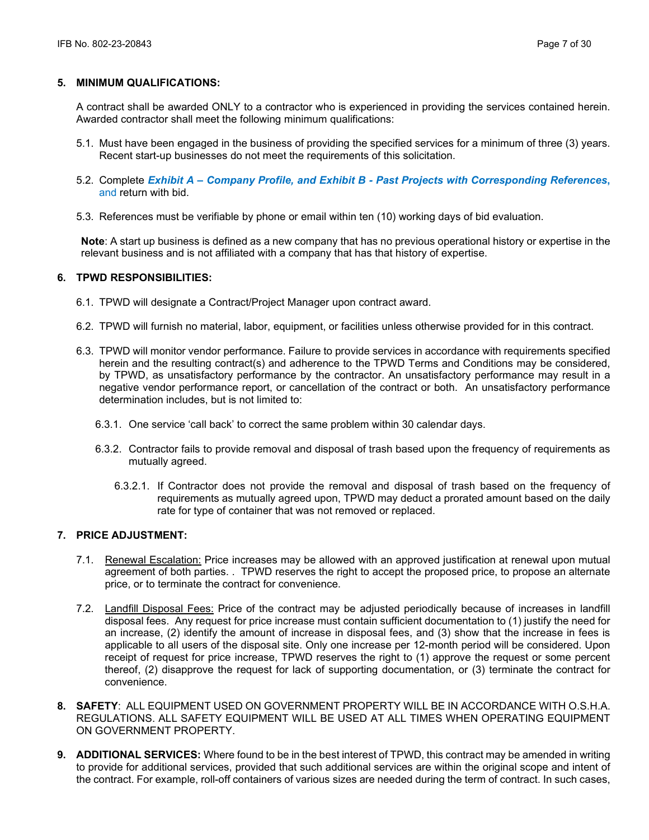# **5. MINIMUM QUALIFICATIONS:**

A contract shall be awarded ONLY to a contractor who is experienced in providing the services contained herein. Awarded contractor shall meet the following minimum qualifications:

- 5.1. Must have been engaged in the business of providing the specified services for a minimum of three (3) years. Recent start-up businesses do not meet the requirements of this solicitation.
- 5.2. Complete *Exhibit A Company Profile, and Exhibit B Past Projects with Corresponding References***,**  and return with bid.
- 5.3. References must be verifiable by phone or email within ten (10) working days of bid evaluation.

**Note**: A start up business is defined as a new company that has no previous operational history or expertise in the relevant business and is not affiliated with a company that has that history of expertise.

# **6. TPWD RESPONSIBILITIES:**

- 6.1. TPWD will designate a Contract/Project Manager upon contract award.
- 6.2. TPWD will furnish no material, labor, equipment, or facilities unless otherwise provided for in this contract.
- 6.3. TPWD will monitor vendor performance. Failure to provide services in accordance with requirements specified herein and the resulting contract(s) and adherence to the TPWD Terms and Conditions may be considered, by TPWD, as unsatisfactory performance by the contractor. An unsatisfactory performance may result in a negative vendor performance report, or cancellation of the contract or both. An unsatisfactory performance determination includes, but is not limited to:
	- 6.3.1. One service 'call back' to correct the same problem within 30 calendar days.
	- 6.3.2. Contractor fails to provide removal and disposal of trash based upon the frequency of requirements as mutually agreed.
		- 6.3.2.1. If Contractor does not provide the removal and disposal of trash based on the frequency of requirements as mutually agreed upon, TPWD may deduct a prorated amount based on the daily rate for type of container that was not removed or replaced.

# **7. PRICE ADJUSTMENT:**

- 7.1. Renewal Escalation: Price increases may be allowed with an approved justification at renewal upon mutual agreement of both parties. . TPWD reserves the right to accept the proposed price, to propose an alternate price, or to terminate the contract for convenience.
- 7.2. Landfill Disposal Fees: Price of the contract may be adjusted periodically because of increases in landfill disposal fees. Any request for price increase must contain sufficient documentation to (1) justify the need for an increase, (2) identify the amount of increase in disposal fees, and (3) show that the increase in fees is applicable to all users of the disposal site. Only one increase per 12-month period will be considered. Upon receipt of request for price increase, TPWD reserves the right to (1) approve the request or some percent thereof, (2) disapprove the request for lack of supporting documentation, or (3) terminate the contract for convenience.
- **8. SAFETY**: ALL EQUIPMENT USED ON GOVERNMENT PROPERTY WILL BE IN ACCORDANCE WITH O.S.H.A. REGULATIONS. ALL SAFETY EQUIPMENT WILL BE USED AT ALL TIMES WHEN OPERATING EQUIPMENT ON GOVERNMENT PROPERTY.
- **9. ADDITIONAL SERVICES:** Where found to be in the best interest of TPWD, this contract may be amended in writing to provide for additional services, provided that such additional services are within the original scope and intent of the contract. For example, roll-off containers of various sizes are needed during the term of contract. In such cases,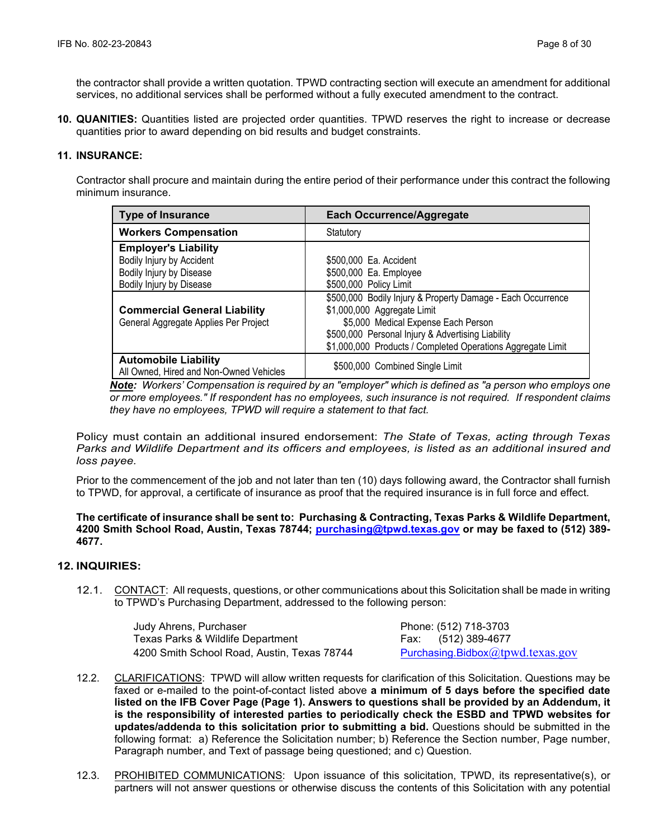the contractor shall provide a written quotation. TPWD contracting section will execute an amendment for additional services, no additional services shall be performed without a fully executed amendment to the contract.

**10. QUANITIES:** Quantities listed are projected order quantities. TPWD reserves the right to increase or decrease quantities prior to award depending on bid results and budget constraints.

# **11. INSURANCE:**

Contractor shall procure and maintain during the entire period of their performance under this contract the following minimum insurance.

| <b>Type of Insurance</b>                | <b>Each Occurrence/Aggregate</b>                            |
|-----------------------------------------|-------------------------------------------------------------|
| <b>Workers Compensation</b>             | Statutory                                                   |
| <b>Employer's Liability</b>             |                                                             |
| Bodily Injury by Accident               | \$500,000 Ea. Accident                                      |
| Bodily Injury by Disease                | \$500,000 Ea. Employee                                      |
| Bodily Injury by Disease                | \$500,000 Policy Limit                                      |
|                                         | \$500,000 Bodily Injury & Property Damage - Each Occurrence |
| <b>Commercial General Liability</b>     | \$1,000,000 Aggregate Limit                                 |
| General Aggregate Applies Per Project   | \$5,000 Medical Expense Each Person                         |
|                                         | \$500,000 Personal Injury & Advertising Liability           |
|                                         | \$1,000,000 Products / Completed Operations Aggregate Limit |
| <b>Automobile Liability</b>             | \$500,000 Combined Single Limit                             |
| All Owned, Hired and Non-Owned Vehicles |                                                             |

*Note: Workers' Compensation is required by an "employer" which is defined as "a person who employs one or more employees." If respondent has no employees, such insurance is not required. If respondent claims they have no employees, TPWD will require a statement to that fact.*

Policy must contain an additional insured endorsement: *The State of Texas, acting through Texas Parks and Wildlife Department and its officers and employees, is listed as an additional insured and loss payee.*

Prior to the commencement of the job and not later than ten (10) days following award, the Contractor shall furnish to TPWD, for approval, a certificate of insurance as proof that the required insurance is in full force and effect.

#### **The certificate of insurance shall be sent to: Purchasing & Contracting, Texas Parks & Wildlife Department, 4200 Smith School Road, Austin, Texas 78744; [purchasing@tpwd.texas.gov](mailto:purchasing@tpwd.texas.gov) or may be faxed to (512) 389- 4677.**

#### **12. INQUIRIES:**

12.1. CONTACT: All requests, questions, or other communications about this Solicitation shall be made in writing to TPWD's Purchasing Department, addressed to the following person:

> Judy Ahrens, Purchaser Phone: (512) 718-3703 Texas Parks & Wildlife Department Fax: (512) 389-4677 4200 Smith School Road, Austin, Texas 78744 [Purchasing.Bidbox](mailto:Purchasing.Bidbox@tpwd.texas.gov)[@tpwd.texas.gov](mailto:Purchasing.Bidbox@tpwd.texas.gov)

- 12.2. CLARIFICATIONS: TPWD will allow written requests for clarification of this Solicitation. Questions may be faxed or e-mailed to the point-of-contact listed above **a minimum of 5 days before the specified date listed on the IFB Cover Page (Page 1). Answers to questions shall be provided by an Addendum, it is the responsibility of interested parties to periodically check the ESBD and TPWD websites for updates/addenda to this solicitation prior to submitting a bid.** Questions should be submitted in the following format: a) Reference the Solicitation number; b) Reference the Section number, Page number, Paragraph number, and Text of passage being questioned; and c) Question.
- 12.3. PROHIBITED COMMUNICATIONS: Upon issuance of this solicitation, TPWD, its representative(s), or partners will not answer questions or otherwise discuss the contents of this Solicitation with any potential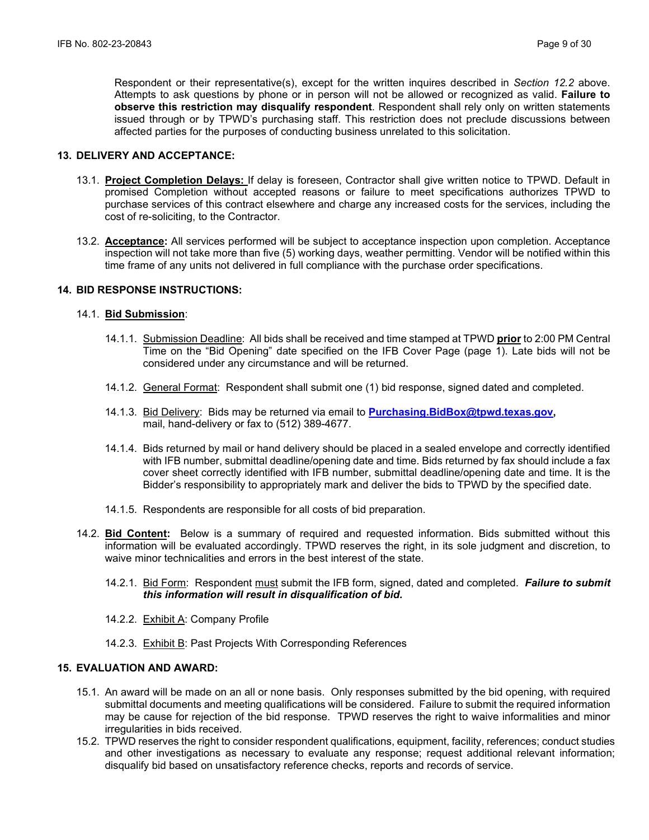Respondent or their representative(s), except for the written inquires described in *Section 12.2* above. Attempts to ask questions by phone or in person will not be allowed or recognized as valid. **Failure to observe this restriction may disqualify respondent**. Respondent shall rely only on written statements issued through or by TPWD's purchasing staff. This restriction does not preclude discussions between affected parties for the purposes of conducting business unrelated to this solicitation.

#### **13. DELIVERY AND ACCEPTANCE:**

- 13.1. **Project Completion Delays:** If delay is foreseen, Contractor shall give written notice to TPWD. Default in promised Completion without accepted reasons or failure to meet specifications authorizes TPWD to purchase services of this contract elsewhere and charge any increased costs for the services, including the cost of re-soliciting, to the Contractor.
- 13.2. **Acceptance:** All services performed will be subject to acceptance inspection upon completion. Acceptance inspection will not take more than five (5) working days, weather permitting. Vendor will be notified within this time frame of any units not delivered in full compliance with the purchase order specifications.

#### **14. BID RESPONSE INSTRUCTIONS:**

#### 14.1. **Bid Submission**:

- 14.1.1. Submission Deadline: All bids shall be received and time stamped at TPWD **prior** to 2:00 PM Central Time on the "Bid Opening" date specified on the IFB Cover Page (page 1). Late bids will not be considered under any circumstance and will be returned.
- 14.1.2. General Format: Respondent shall submit one (1) bid response, signed dated and completed.
- 14.1.3. Bid Delivery: Bids may be returned via email to **[Purchasing.BidBox@tpwd.texas.gov,](mailto:Purchasing.BidBox@tpwd.texas.gov)**  mail, hand-delivery or fax to (512) 389-4677.
- 14.1.4. Bids returned by mail or hand delivery should be placed in a sealed envelope and correctly identified with IFB number, submittal deadline/opening date and time. Bids returned by fax should include a fax cover sheet correctly identified with IFB number, submittal deadline/opening date and time. It is the Bidder's responsibility to appropriately mark and deliver the bids to TPWD by the specified date.
- 14.1.5. Respondents are responsible for all costs of bid preparation.
- 14.2. **Bid Content:** Below is a summary of required and requested information. Bids submitted without this information will be evaluated accordingly. TPWD reserves the right, in its sole judgment and discretion, to waive minor technicalities and errors in the best interest of the state.
	- 14.2.1. Bid Form: Respondent must submit the IFB form, signed, dated and completed. *Failure to submit this information will result in disqualification of bid.*
	- 14.2.2. Exhibit A: Company Profile
	- 14.2.3. Exhibit B: Past Projects With Corresponding References

### **15. EVALUATION AND AWARD:**

- 15.1. An award will be made on an all or none basis. Only responses submitted by the bid opening, with required submittal documents and meeting qualifications will be considered. Failure to submit the required information may be cause for rejection of the bid response. TPWD reserves the right to waive informalities and minor irregularities in bids received.
- 15.2. TPWD reserves the right to consider respondent qualifications, equipment, facility, references; conduct studies and other investigations as necessary to evaluate any response; request additional relevant information; disqualify bid based on unsatisfactory reference checks, reports and records of service.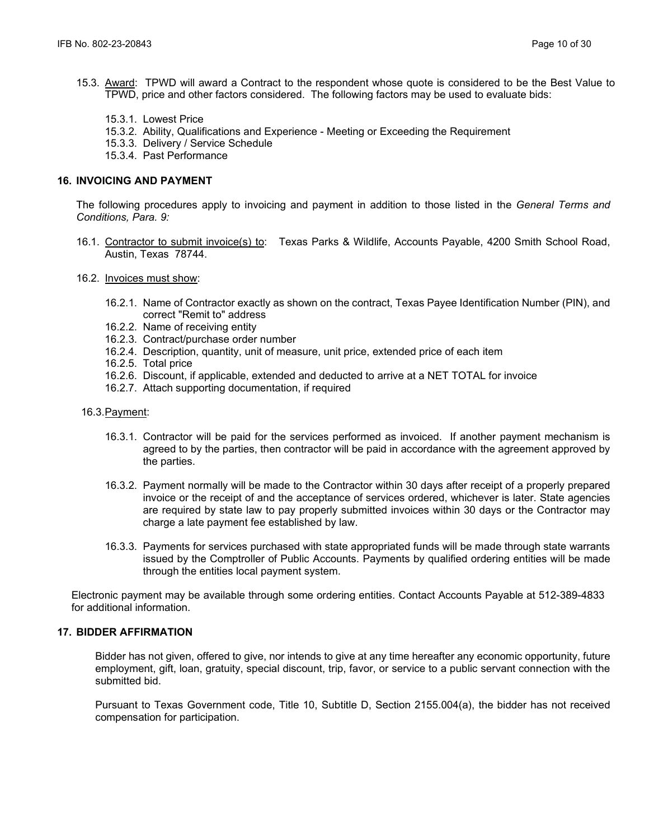- 15.3. Award: TPWD will award a Contract to the respondent whose quote is considered to be the Best Value to TPWD, price and other factors considered. The following factors may be used to evaluate bids:
	- 15.3.1. Lowest Price
	- 15.3.2. Ability, Qualifications and Experience Meeting or Exceeding the Requirement
	- 15.3.3. Delivery / Service Schedule
	- 15.3.4. Past Performance

# **16. INVOICING AND PAYMENT**

The following procedures apply to invoicing and payment in addition to those listed in the *General Terms and Conditions, Para. 9:*

- 16.1. Contractor to submit invoice(s) to: Texas Parks & Wildlife, Accounts Payable, 4200 Smith School Road, Austin, Texas 78744.
- 16.2. Invoices must show:
	- 16.2.1. Name of Contractor exactly as shown on the contract, Texas Payee Identification Number (PIN), and correct "Remit to" address
	- 16.2.2. Name of receiving entity
	- 16.2.3. Contract/purchase order number
	- 16.2.4. Description, quantity, unit of measure, unit price, extended price of each item
	- 16.2.5. Total price
	- 16.2.6. Discount, if applicable, extended and deducted to arrive at a NET TOTAL for invoice
	- 16.2.7. Attach supporting documentation, if required

#### 16.3.Payment:

- 16.3.1. Contractor will be paid for the services performed as invoiced. If another payment mechanism is agreed to by the parties, then contractor will be paid in accordance with the agreement approved by the parties.
- 16.3.2. Payment normally will be made to the Contractor within 30 days after receipt of a properly prepared invoice or the receipt of and the acceptance of services ordered, whichever is later. State agencies are required by state law to pay properly submitted invoices within 30 days or the Contractor may charge a late payment fee established by law.
- 16.3.3. Payments for services purchased with state appropriated funds will be made through state warrants issued by the Comptroller of Public Accounts. Payments by qualified ordering entities will be made through the entities local payment system.

Electronic payment may be available through some ordering entities. Contact Accounts Payable at 512-389-4833 for additional information.

### **17. BIDDER AFFIRMATION**

Bidder has not given, offered to give, nor intends to give at any time hereafter any economic opportunity, future employment, gift, loan, gratuity, special discount, trip, favor, or service to a public servant connection with the submitted bid.

Pursuant to Texas Government code, Title 10, Subtitle D, Section 2155.004(a), the bidder has not received compensation for participation.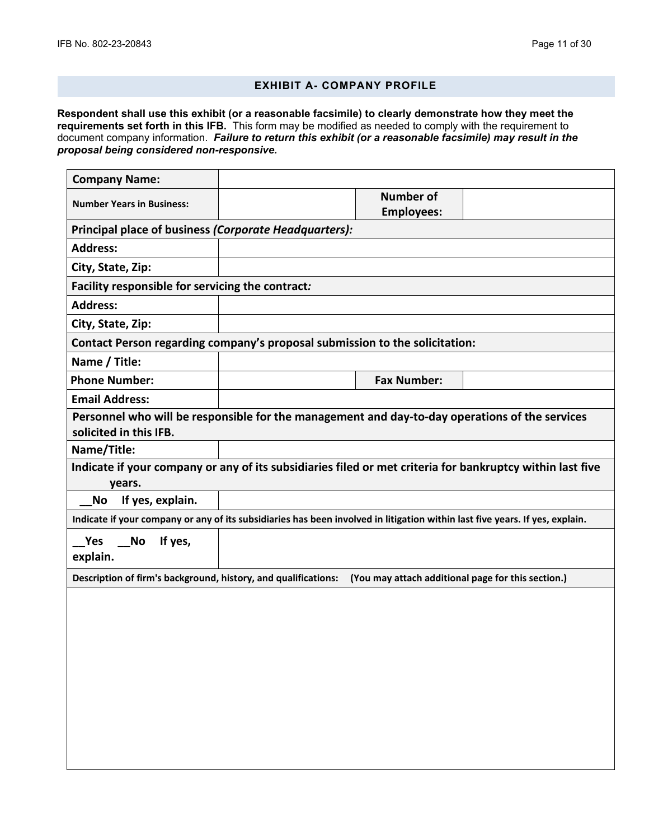# **EXHIBIT A- COMPANY PROFILE**

**Respondent shall use this exhibit (or a reasonable facsimile) to clearly demonstrate how they meet the requirements set forth in this IFB.** This form may be modified as needed to comply with the requirement to document company information. *Failure to return this exhibit (or a reasonable facsimile) may result in the proposal being considered non-responsive.*

| <b>Company Name:</b>                                                                                                         |                                       |  |
|------------------------------------------------------------------------------------------------------------------------------|---------------------------------------|--|
| <b>Number Years in Business:</b>                                                                                             | <b>Number of</b><br><b>Employees:</b> |  |
| Principal place of business (Corporate Headquarters):                                                                        |                                       |  |
| <b>Address:</b>                                                                                                              |                                       |  |
| City, State, Zip:                                                                                                            |                                       |  |
| Facility responsible for servicing the contract:                                                                             |                                       |  |
| <b>Address:</b>                                                                                                              |                                       |  |
| City, State, Zip:                                                                                                            |                                       |  |
| Contact Person regarding company's proposal submission to the solicitation:                                                  |                                       |  |
| Name / Title:                                                                                                                |                                       |  |
| <b>Phone Number:</b>                                                                                                         | <b>Fax Number:</b>                    |  |
| <b>Email Address:</b>                                                                                                        |                                       |  |
| Personnel who will be responsible for the management and day-to-day operations of the services<br>solicited in this IFB.     |                                       |  |
| Name/Title:                                                                                                                  |                                       |  |
| Indicate if your company or any of its subsidiaries filed or met criteria for bankruptcy within last five<br>years.          |                                       |  |
| If yes, explain.<br><b>No</b>                                                                                                |                                       |  |
| Indicate if your company or any of its subsidiaries has been involved in litigation within last five years. If yes, explain. |                                       |  |
| Yes<br><b>No</b><br>If yes,<br>explain.                                                                                      |                                       |  |
| Description of firm's background, history, and qualifications: (You may attach additional page for this section.)            |                                       |  |
|                                                                                                                              |                                       |  |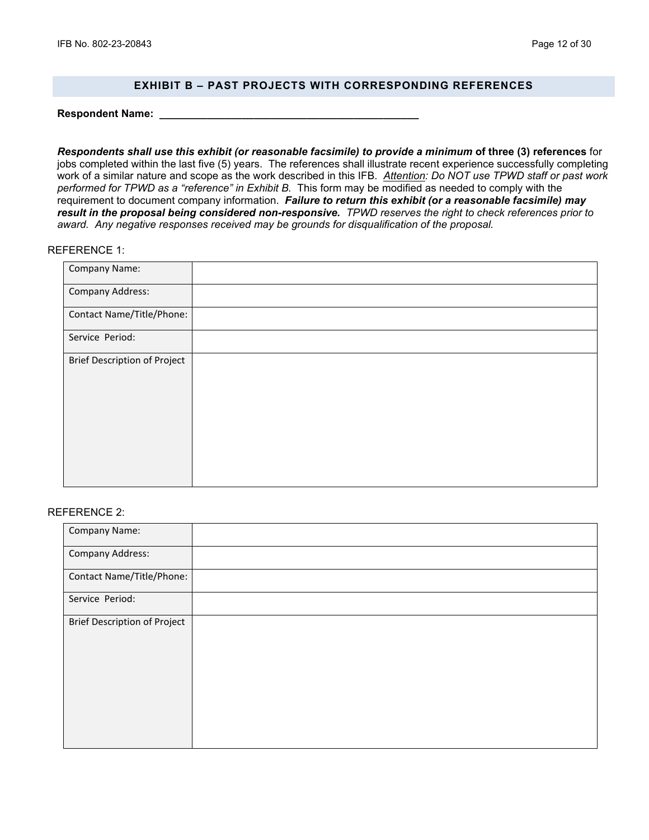# **EXHIBIT B – PAST PROJECTS WITH CORRESPONDING REFERENCES**

**Respondent Name: \_\_\_\_\_\_\_\_\_\_\_\_\_\_\_\_\_\_\_\_\_\_\_\_\_\_\_\_\_\_\_\_\_\_\_\_\_\_\_\_\_\_\_\_**

*Respondents shall use this exhibit (or reasonable facsimile) to provide a minimum* **of three (3) references** for jobs completed within the last five (5) years. The references shall illustrate recent experience successfully completing work of a similar nature and scope as the work described in this IFB. *Attention: Do NOT use TPWD staff or past work performed for TPWD as a "reference" in Exhibit B.* This form may be modified as needed to comply with the requirement to document company information. *Failure to return this exhibit (or a reasonable facsimile) may result in the proposal being considered non-responsive. TPWD reserves the right to check references prior to award. Any negative responses received may be grounds for disqualification of the proposal.*

#### REFERENCE 1:

| Company Name:                |  |
|------------------------------|--|
| Company Address:             |  |
| Contact Name/Title/Phone:    |  |
| Service Period:              |  |
| Brief Description of Project |  |
|                              |  |
|                              |  |
|                              |  |
|                              |  |
|                              |  |

#### REFERENCE 2:

| Company Name:                       |  |
|-------------------------------------|--|
| <b>Company Address:</b>             |  |
| Contact Name/Title/Phone:           |  |
| Service Period:                     |  |
| <b>Brief Description of Project</b> |  |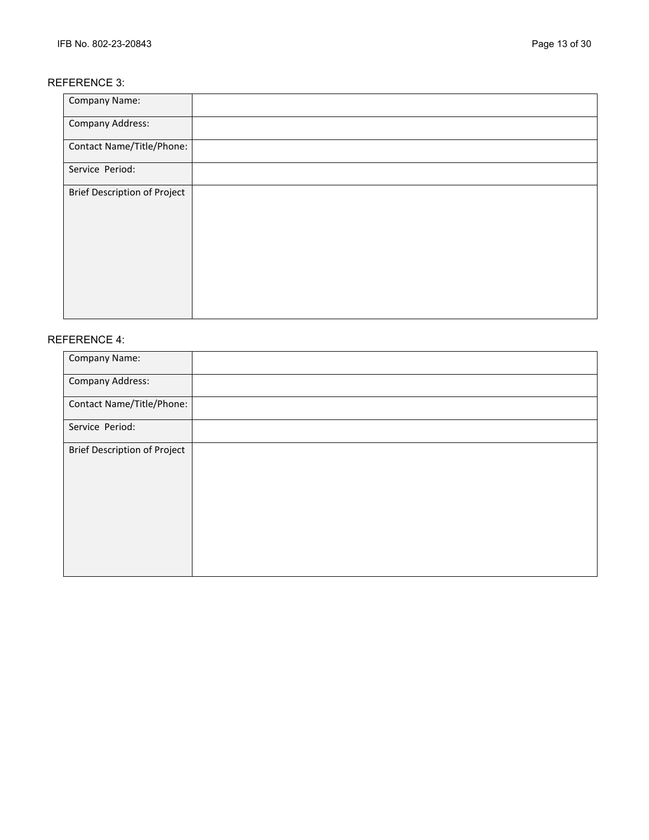# REFERENCE 3:

| <b>Company Name:</b>                |  |
|-------------------------------------|--|
| <b>Company Address:</b>             |  |
| Contact Name/Title/Phone:           |  |
| Service Period:                     |  |
| <b>Brief Description of Project</b> |  |

# REFERENCE 4:

| Company Name:                       |  |
|-------------------------------------|--|
| <b>Company Address:</b>             |  |
| Contact Name/Title/Phone:           |  |
| Service Period:                     |  |
| <b>Brief Description of Project</b> |  |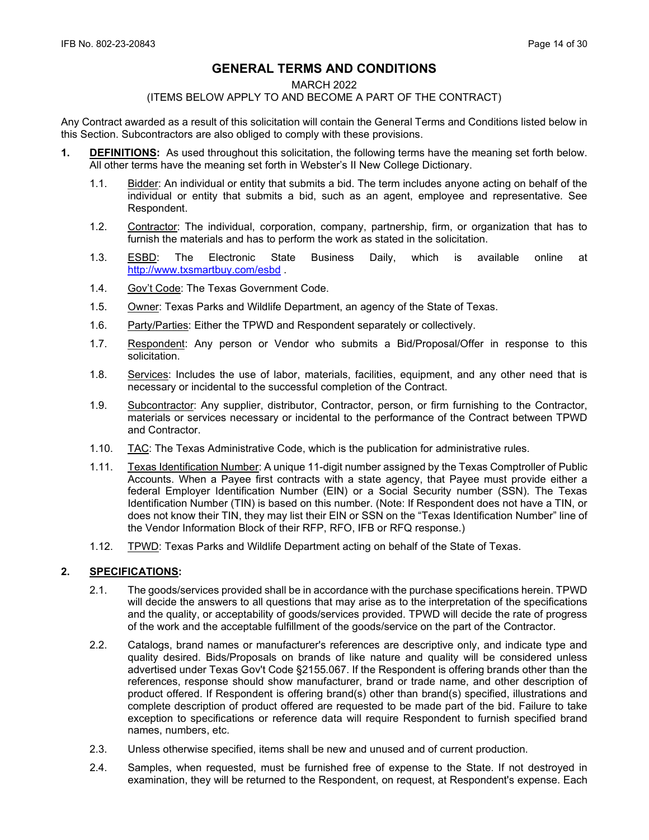# **GENERAL TERMS AND CONDITIONS**

#### MARCH 2022

### (ITEMS BELOW APPLY TO AND BECOME A PART OF THE CONTRACT)

Any Contract awarded as a result of this solicitation will contain the General Terms and Conditions listed below in this Section. Subcontractors are also obliged to comply with these provisions.

- **1. DEFINITIONS:** As used throughout this solicitation, the following terms have the meaning set forth below. All other terms have the meaning set forth in Webster's II New College Dictionary.
	- 1.1. Bidder: An individual or entity that submits a bid. The term includes anyone acting on behalf of the individual or entity that submits a bid, such as an agent, employee and representative. See Respondent.
	- 1.2. Contractor: The individual, corporation, company, partnership, firm, or organization that has to furnish the materials and has to perform the work as stated in the solicitation.
	- 1.3. ESBD: The Electronic State Business Daily, which is available online at <http://www.txsmartbuy.com/esbd>.
	- 1.4. Gov't Code: The Texas Government Code.
	- 1.5. Owner: Texas Parks and Wildlife Department, an agency of the State of Texas.
	- 1.6. Party/Parties: Either the TPWD and Respondent separately or collectively.
	- 1.7. Respondent: Any person or Vendor who submits a Bid/Proposal/Offer in response to this solicitation.
	- 1.8. Services: Includes the use of labor, materials, facilities, equipment, and any other need that is necessary or incidental to the successful completion of the Contract.
	- 1.9. Subcontractor: Any supplier, distributor, Contractor, person, or firm furnishing to the Contractor, materials or services necessary or incidental to the performance of the Contract between TPWD and Contractor.
	- 1.10. TAC: The Texas Administrative Code, which is the publication for administrative rules.
	- 1.11. Texas Identification Number: A unique 11-digit number assigned by the Texas Comptroller of Public Accounts. When a Payee first contracts with a state agency, that Payee must provide either a federal Employer Identification Number (EIN) or a Social Security number (SSN). The Texas Identification Number (TIN) is based on this number. (Note: If Respondent does not have a TIN, or does not know their TIN, they may list their EIN or SSN on the "Texas Identification Number" line of the Vendor Information Block of their RFP, RFO, IFB or RFQ response.)
	- 1.12. TPWD: Texas Parks and Wildlife Department acting on behalf of the State of Texas.

# **2. SPECIFICATIONS:**

- 2.1. The goods/services provided shall be in accordance with the purchase specifications herein. TPWD will decide the answers to all questions that may arise as to the interpretation of the specifications and the quality, or acceptability of goods/services provided. TPWD will decide the rate of progress of the work and the acceptable fulfillment of the goods/service on the part of the Contractor.
- 2.2. Catalogs, brand names or manufacturer's references are descriptive only, and indicate type and quality desired. Bids/Proposals on brands of like nature and quality will be considered unless advertised under Texas Gov't Code §2155.067. If the Respondent is offering brands other than the references, response should show manufacturer, brand or trade name, and other description of product offered. If Respondent is offering brand(s) other than brand(s) specified, illustrations and complete description of product offered are requested to be made part of the bid. Failure to take exception to specifications or reference data will require Respondent to furnish specified brand names, numbers, etc.
- 2.3. Unless otherwise specified, items shall be new and unused and of current production.
- 2.4. Samples, when requested, must be furnished free of expense to the State. If not destroyed in examination, they will be returned to the Respondent, on request, at Respondent's expense. Each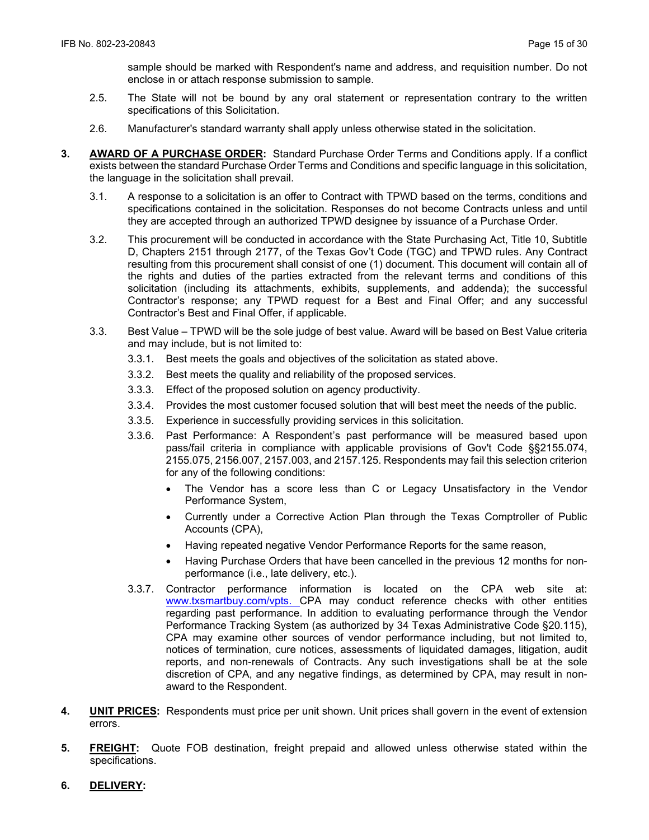sample should be marked with Respondent's name and address, and requisition number. Do not enclose in or attach response submission to sample.

- 2.5. The State will not be bound by any oral statement or representation contrary to the written specifications of this Solicitation.
- 2.6. Manufacturer's standard warranty shall apply unless otherwise stated in the solicitation.
- **3. AWARD OF A PURCHASE ORDER:** Standard Purchase Order Terms and Conditions apply. If a conflict exists between the standard Purchase Order Terms and Conditions and specific language in this solicitation, the language in the solicitation shall prevail.
	- 3.1. A response to a solicitation is an offer to Contract with TPWD based on the terms, conditions and specifications contained in the solicitation. Responses do not become Contracts unless and until they are accepted through an authorized TPWD designee by issuance of a Purchase Order.
	- 3.2. This procurement will be conducted in accordance with the State Purchasing Act, Title 10, Subtitle D, Chapters 2151 through 2177, of the Texas Gov't Code (TGC) and TPWD rules. Any Contract resulting from this procurement shall consist of one (1) document. This document will contain all of the rights and duties of the parties extracted from the relevant terms and conditions of this solicitation (including its attachments, exhibits, supplements, and addenda); the successful Contractor's response; any TPWD request for a Best and Final Offer; and any successful Contractor's Best and Final Offer, if applicable.
	- 3.3. Best Value TPWD will be the sole judge of best value. Award will be based on Best Value criteria and may include, but is not limited to:
		- 3.3.1. Best meets the goals and objectives of the solicitation as stated above.
		- 3.3.2. Best meets the quality and reliability of the proposed services.
		- 3.3.3. Effect of the proposed solution on agency productivity.
		- 3.3.4. Provides the most customer focused solution that will best meet the needs of the public.
		- 3.3.5. Experience in successfully providing services in this solicitation.
		- 3.3.6. Past Performance: A Respondent's past performance will be measured based upon pass/fail criteria in compliance with applicable provisions of Gov't Code §§2155.074, 2155.075, 2156.007, 2157.003, and 2157.125. Respondents may fail this selection criterion for any of the following conditions:
			- The Vendor has a score less than C or Legacy Unsatisfactory in the Vendor Performance System,
			- Currently under a Corrective Action Plan through the Texas Comptroller of Public Accounts (CPA),
			- Having repeated negative Vendor Performance Reports for the same reason,
			- Having Purchase Orders that have been cancelled in the previous 12 months for nonperformance (i.e., late delivery, etc.).
		- 3.3.7. Contractor performance information is located on the CPA web site at: [www.txsmartbuy.com/vpts.](http://www.txsmartbuy.com/vpts) CPA may conduct reference checks with other entities regarding past performance. In addition to evaluating performance through the Vendor Performance Tracking System (as authorized by 34 Texas Administrative Code §20.115), CPA may examine other sources of vendor performance including, but not limited to, notices of termination, cure notices, assessments of liquidated damages, litigation, audit reports, and non-renewals of Contracts. Any such investigations shall be at the sole discretion of CPA, and any negative findings, as determined by CPA, may result in nonaward to the Respondent.
- **4. UNIT PRICES:** Respondents must price per unit shown. Unit prices shall govern in the event of extension errors.
- **5. FREIGHT:** Quote FOB destination, freight prepaid and allowed unless otherwise stated within the specifications.
- **6. DELIVERY:**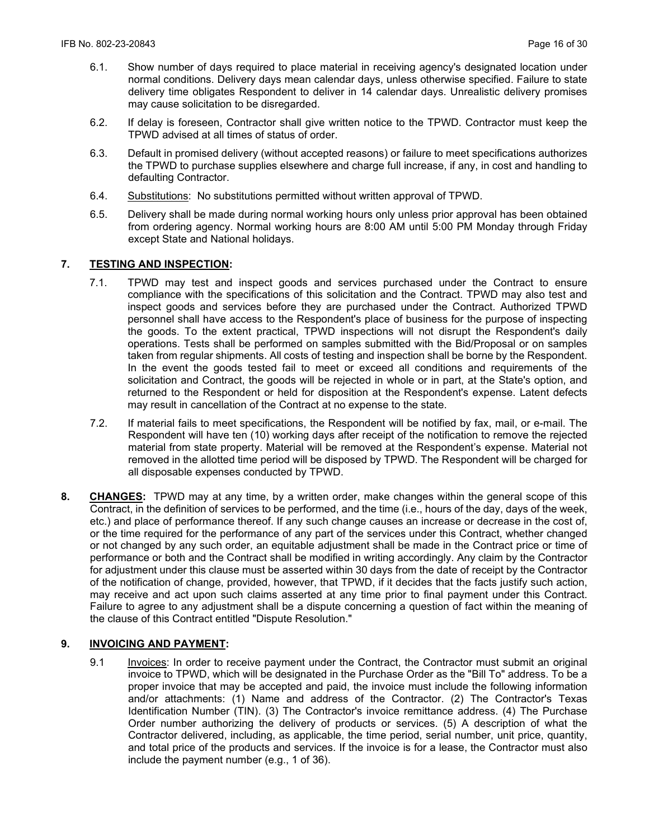- 6.1. Show number of days required to place material in receiving agency's designated location under normal conditions. Delivery days mean calendar days, unless otherwise specified. Failure to state delivery time obligates Respondent to deliver in 14 calendar days. Unrealistic delivery promises may cause solicitation to be disregarded.
- 6.2. If delay is foreseen, Contractor shall give written notice to the TPWD. Contractor must keep the TPWD advised at all times of status of order.
- 6.3. Default in promised delivery (without accepted reasons) or failure to meet specifications authorizes the TPWD to purchase supplies elsewhere and charge full increase, if any, in cost and handling to defaulting Contractor.
- 6.4. Substitutions: No substitutions permitted without written approval of TPWD.
- 6.5. Delivery shall be made during normal working hours only unless prior approval has been obtained from ordering agency. Normal working hours are 8:00 AM until 5:00 PM Monday through Friday except State and National holidays.

# **7. TESTING AND INSPECTION:**

- 7.1. TPWD may test and inspect goods and services purchased under the Contract to ensure compliance with the specifications of this solicitation and the Contract. TPWD may also test and inspect goods and services before they are purchased under the Contract. Authorized TPWD personnel shall have access to the Respondent's place of business for the purpose of inspecting the goods. To the extent practical, TPWD inspections will not disrupt the Respondent's daily operations. Tests shall be performed on samples submitted with the Bid/Proposal or on samples taken from regular shipments. All costs of testing and inspection shall be borne by the Respondent. In the event the goods tested fail to meet or exceed all conditions and requirements of the solicitation and Contract, the goods will be rejected in whole or in part, at the State's option, and returned to the Respondent or held for disposition at the Respondent's expense. Latent defects may result in cancellation of the Contract at no expense to the state.
- 7.2. If material fails to meet specifications, the Respondent will be notified by fax, mail, or e-mail. The Respondent will have ten (10) working days after receipt of the notification to remove the rejected material from state property. Material will be removed at the Respondent's expense. Material not removed in the allotted time period will be disposed by TPWD. The Respondent will be charged for all disposable expenses conducted by TPWD.
- **8. CHANGES:** TPWD may at any time, by a written order, make changes within the general scope of this Contract, in the definition of services to be performed, and the time (i.e., hours of the day, days of the week, etc.) and place of performance thereof. If any such change causes an increase or decrease in the cost of, or the time required for the performance of any part of the services under this Contract, whether changed or not changed by any such order, an equitable adjustment shall be made in the Contract price or time of performance or both and the Contract shall be modified in writing accordingly. Any claim by the Contractor for adjustment under this clause must be asserted within 30 days from the date of receipt by the Contractor of the notification of change, provided, however, that TPWD, if it decides that the facts justify such action, may receive and act upon such claims asserted at any time prior to final payment under this Contract. Failure to agree to any adjustment shall be a dispute concerning a question of fact within the meaning of the clause of this Contract entitled "Dispute Resolution."

#### **9. INVOICING AND PAYMENT:**

9.1 Invoices: In order to receive payment under the Contract, the Contractor must submit an original invoice to TPWD, which will be designated in the Purchase Order as the "Bill To" address. To be a proper invoice that may be accepted and paid, the invoice must include the following information and/or attachments: (1) Name and address of the Contractor. (2) The Contractor's Texas Identification Number (TIN). (3) The Contractor's invoice remittance address. (4) The Purchase Order number authorizing the delivery of products or services. (5) A description of what the Contractor delivered, including, as applicable, the time period, serial number, unit price, quantity, and total price of the products and services. If the invoice is for a lease, the Contractor must also include the payment number (e.g., 1 of 36).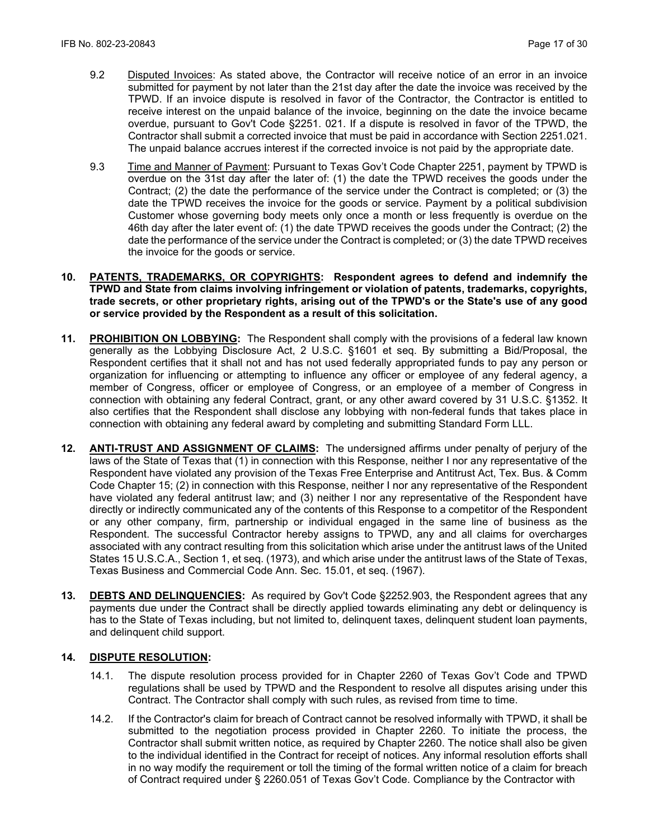- 9.2 Disputed Invoices: As stated above, the Contractor will receive notice of an error in an invoice submitted for payment by not later than the 21st day after the date the invoice was received by the TPWD. If an invoice dispute is resolved in favor of the Contractor, the Contractor is entitled to receive interest on the unpaid balance of the invoice, beginning on the date the invoice became overdue, pursuant to Gov't Code §2251. 021. If a dispute is resolved in favor of the TPWD, the Contractor shall submit a corrected invoice that must be paid in accordance with Section 2251.021. The unpaid balance accrues interest if the corrected invoice is not paid by the appropriate date.
- 9.3 Time and Manner of Payment: Pursuant to Texas Gov't Code Chapter 2251, payment by TPWD is overdue on the 31st day after the later of: (1) the date the TPWD receives the goods under the Contract; (2) the date the performance of the service under the Contract is completed; or (3) the date the TPWD receives the invoice for the goods or service. Payment by a political subdivision Customer whose governing body meets only once a month or less frequently is overdue on the 46th day after the later event of: (1) the date TPWD receives the goods under the Contract; (2) the date the performance of the service under the Contract is completed; or (3) the date TPWD receives the invoice for the goods or service.
- **10. PATENTS, TRADEMARKS, OR COPYRIGHTS: Respondent agrees to defend and indemnify the TPWD and State from claims involving infringement or violation of patents, trademarks, copyrights, trade secrets, or other proprietary rights, arising out of the TPWD's or the State's use of any good or service provided by the Respondent as a result of this solicitation.**
- **11. PROHIBITION ON LOBBYING:** The Respondent shall comply with the provisions of a federal law known generally as the Lobbying Disclosure Act, 2 U.S.C. §1601 et seq. By submitting a Bid/Proposal, the Respondent certifies that it shall not and has not used federally appropriated funds to pay any person or organization for influencing or attempting to influence any officer or employee of any federal agency, a member of Congress, officer or employee of Congress, or an employee of a member of Congress in connection with obtaining any federal Contract, grant, or any other award covered by 31 U.S.C. §1352. It also certifies that the Respondent shall disclose any lobbying with non-federal funds that takes place in connection with obtaining any federal award by completing and submitting Standard Form LLL.
- **12. ANTI-TRUST AND ASSIGNMENT OF CLAIMS:** The undersigned affirms under penalty of perjury of the laws of the State of Texas that (1) in connection with this Response, neither I nor any representative of the Respondent have violated any provision of the Texas Free Enterprise and Antitrust Act, Tex. Bus. & Comm Code Chapter 15; (2) in connection with this Response, neither I nor any representative of the Respondent have violated any federal antitrust law; and (3) neither I nor any representative of the Respondent have directly or indirectly communicated any of the contents of this Response to a competitor of the Respondent or any other company, firm, partnership or individual engaged in the same line of business as the Respondent. The successful Contractor hereby assigns to TPWD, any and all claims for overcharges associated with any contract resulting from this solicitation which arise under the antitrust laws of the United States 15 U.S.C.A., Section 1, et seq. (1973), and which arise under the antitrust laws of the State of Texas, Texas Business and Commercial Code Ann. Sec. 15.01, et seq. (1967).
- **13. DEBTS AND DELINQUENCIES:** As required by Gov't Code §2252.903, the Respondent agrees that any payments due under the Contract shall be directly applied towards eliminating any debt or delinquency is has to the State of Texas including, but not limited to, delinquent taxes, delinquent student loan payments, and delinquent child support.

# **14. DISPUTE RESOLUTION:**

- 14.1. The dispute resolution process provided for in Chapter 2260 of Texas Gov't Code and TPWD regulations shall be used by TPWD and the Respondent to resolve all disputes arising under this Contract. The Contractor shall comply with such rules, as revised from time to time.
- 14.2. If the Contractor's claim for breach of Contract cannot be resolved informally with TPWD, it shall be submitted to the negotiation process provided in Chapter 2260. To initiate the process, the Contractor shall submit written notice, as required by Chapter 2260. The notice shall also be given to the individual identified in the Contract for receipt of notices. Any informal resolution efforts shall in no way modify the requirement or toll the timing of the formal written notice of a claim for breach of Contract required under § 2260.051 of Texas Gov't Code. Compliance by the Contractor with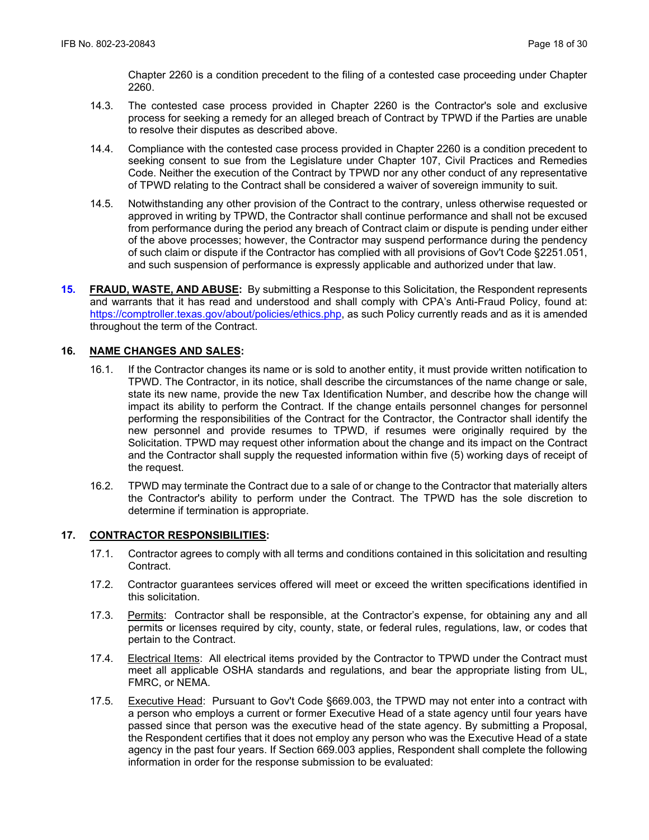Chapter 2260 is a condition precedent to the filing of a contested case proceeding under Chapter 2260.

- 14.3. The contested case process provided in Chapter 2260 is the Contractor's sole and exclusive process for seeking a remedy for an alleged breach of Contract by TPWD if the Parties are unable to resolve their disputes as described above.
- 14.4. Compliance with the contested case process provided in Chapter 2260 is a condition precedent to seeking consent to sue from the Legislature under Chapter 107, Civil Practices and Remedies Code. Neither the execution of the Contract by TPWD nor any other conduct of any representative of TPWD relating to the Contract shall be considered a waiver of sovereign immunity to suit.
- 14.5. Notwithstanding any other provision of the Contract to the contrary, unless otherwise requested or approved in writing by TPWD, the Contractor shall continue performance and shall not be excused from performance during the period any breach of Contract claim or dispute is pending under either of the above processes; however, the Contractor may suspend performance during the pendency of such claim or dispute if the Contractor has complied with all provisions of Gov't Code §2251.051, and such suspension of performance is expressly applicable and authorized under that law.
- **15. FRAUD, WASTE, AND ABUSE:** By submitting a Response to this Solicitation, the Respondent represents and warrants that it has read and understood and shall comply with CPA's Anti-Fraud Policy, found at: https://comptroller.texas.gov/about/policies/ethics.php, as such Policy currently reads and as it is amended throughout the term of the Contract.

# **16. NAME CHANGES AND SALES:**

- 16.1. If the Contractor changes its name or is sold to another entity, it must provide written notification to TPWD. The Contractor, in its notice, shall describe the circumstances of the name change or sale, state its new name, provide the new Tax Identification Number, and describe how the change will impact its ability to perform the Contract. If the change entails personnel changes for personnel performing the responsibilities of the Contract for the Contractor, the Contractor shall identify the new personnel and provide resumes to TPWD, if resumes were originally required by the Solicitation. TPWD may request other information about the change and its impact on the Contract and the Contractor shall supply the requested information within five (5) working days of receipt of the request.
- 16.2. TPWD may terminate the Contract due to a sale of or change to the Contractor that materially alters the Contractor's ability to perform under the Contract. The TPWD has the sole discretion to determine if termination is appropriate.

#### **17. CONTRACTOR RESPONSIBILITIES:**

- 17.1. Contractor agrees to comply with all terms and conditions contained in this solicitation and resulting Contract.
- 17.2. Contractor guarantees services offered will meet or exceed the written specifications identified in this solicitation.
- 17.3. Permits: Contractor shall be responsible, at the Contractor's expense, for obtaining any and all permits or licenses required by city, county, state, or federal rules, regulations, law, or codes that pertain to the Contract.
- 17.4. Electrical Items: All electrical items provided by the Contractor to TPWD under the Contract must meet all applicable OSHA standards and regulations, and bear the appropriate listing from UL, FMRC, or NEMA.
- 17.5. Executive Head: Pursuant to Gov't Code §669.003, the TPWD may not enter into a contract with a person who employs a current or former Executive Head of a state agency until four years have passed since that person was the executive head of the state agency. By submitting a Proposal, the Respondent certifies that it does not employ any person who was the Executive Head of a state agency in the past four years. If Section 669.003 applies, Respondent shall complete the following information in order for the response submission to be evaluated: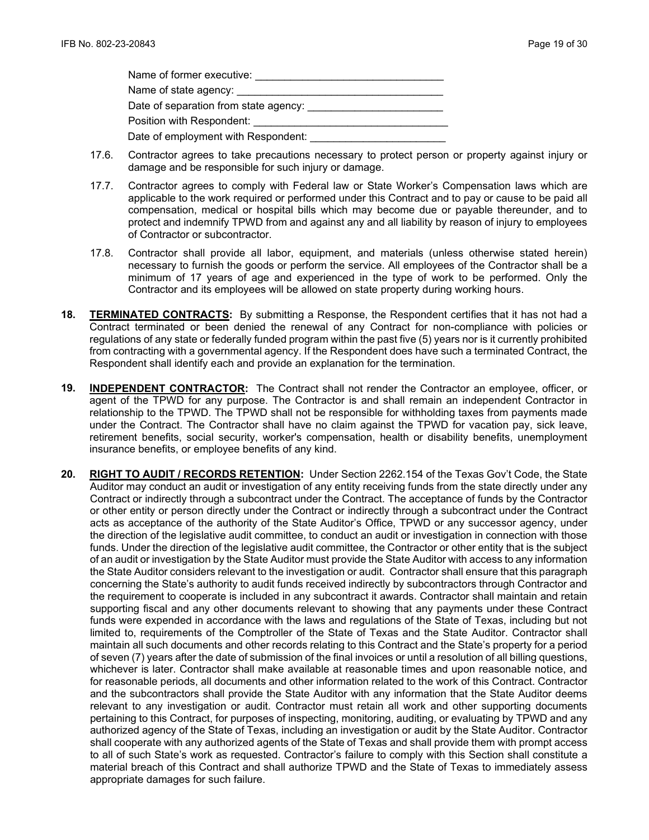| Name of former executive:           |
|-------------------------------------|
| Name of state agency: ___________   |
|                                     |
| Position with Respondent:           |
| Date of employment with Respondent: |

- 17.6. Contractor agrees to take precautions necessary to protect person or property against injury or damage and be responsible for such injury or damage.
- 17.7. Contractor agrees to comply with Federal law or State Worker's Compensation laws which are applicable to the work required or performed under this Contract and to pay or cause to be paid all compensation, medical or hospital bills which may become due or payable thereunder, and to protect and indemnify TPWD from and against any and all liability by reason of injury to employees of Contractor or subcontractor.
- 17.8. Contractor shall provide all labor, equipment, and materials (unless otherwise stated herein) necessary to furnish the goods or perform the service. All employees of the Contractor shall be a minimum of 17 years of age and experienced in the type of work to be performed. Only the Contractor and its employees will be allowed on state property during working hours.
- **18. TERMINATED CONTRACTS:** By submitting a Response, the Respondent certifies that it has not had a Contract terminated or been denied the renewal of any Contract for non-compliance with policies or regulations of any state or federally funded program within the past five (5) years nor is it currently prohibited from contracting with a governmental agency. If the Respondent does have such a terminated Contract, the Respondent shall identify each and provide an explanation for the termination.
- **19. INDEPENDENT CONTRACTOR:** The Contract shall not render the Contractor an employee, officer, or agent of the TPWD for any purpose. The Contractor is and shall remain an independent Contractor in relationship to the TPWD. The TPWD shall not be responsible for withholding taxes from payments made under the Contract. The Contractor shall have no claim against the TPWD for vacation pay, sick leave, retirement benefits, social security, worker's compensation, health or disability benefits, unemployment insurance benefits, or employee benefits of any kind.
- **20. RIGHT TO AUDIT / RECORDS RETENTION:** Under Section 2262.154 of the Texas Gov't Code, the State Auditor may conduct an audit or investigation of any entity receiving funds from the state directly under any Contract or indirectly through a subcontract under the Contract. The acceptance of funds by the Contractor or other entity or person directly under the Contract or indirectly through a subcontract under the Contract acts as acceptance of the authority of the State Auditor's Office, TPWD or any successor agency, under the direction of the legislative audit committee, to conduct an audit or investigation in connection with those funds. Under the direction of the legislative audit committee, the Contractor or other entity that is the subject of an audit or investigation by the State Auditor must provide the State Auditor with access to any information the State Auditor considers relevant to the investigation or audit. Contractor shall ensure that this paragraph concerning the State's authority to audit funds received indirectly by subcontractors through Contractor and the requirement to cooperate is included in any subcontract it awards. Contractor shall maintain and retain supporting fiscal and any other documents relevant to showing that any payments under these Contract funds were expended in accordance with the laws and regulations of the State of Texas, including but not limited to, requirements of the Comptroller of the State of Texas and the State Auditor. Contractor shall maintain all such documents and other records relating to this Contract and the State's property for a period of seven (7) years after the date of submission of the final invoices or until a resolution of all billing questions, whichever is later. Contractor shall make available at reasonable times and upon reasonable notice, and for reasonable periods, all documents and other information related to the work of this Contract. Contractor and the subcontractors shall provide the State Auditor with any information that the State Auditor deems relevant to any investigation or audit. Contractor must retain all work and other supporting documents pertaining to this Contract, for purposes of inspecting, monitoring, auditing, or evaluating by TPWD and any authorized agency of the State of Texas, including an investigation or audit by the State Auditor. Contractor shall cooperate with any authorized agents of the State of Texas and shall provide them with prompt access to all of such State's work as requested. Contractor's failure to comply with this Section shall constitute a material breach of this Contract and shall authorize TPWD and the State of Texas to immediately assess appropriate damages for such failure.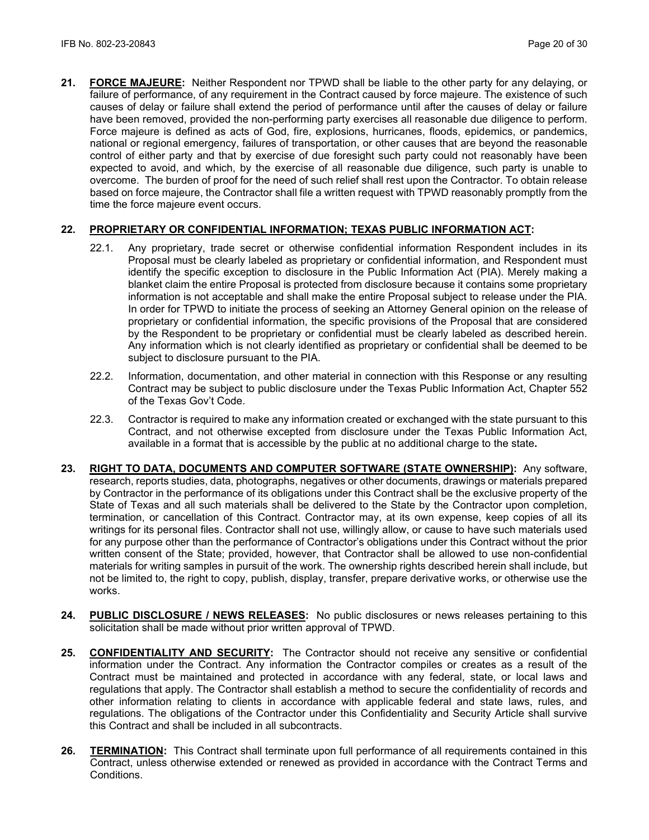**21. FORCE MAJEURE:** Neither Respondent nor TPWD shall be liable to the other party for any delaying, or failure of performance, of any requirement in the Contract caused by force majeure. The existence of such causes of delay or failure shall extend the period of performance until after the causes of delay or failure have been removed, provided the non-performing party exercises all reasonable due diligence to perform. Force majeure is defined as acts of God, fire, explosions, hurricanes, floods, epidemics, or pandemics, national or regional emergency, failures of transportation, or other causes that are beyond the reasonable control of either party and that by exercise of due foresight such party could not reasonably have been expected to avoid, and which, by the exercise of all reasonable due diligence, such party is unable to overcome. The burden of proof for the need of such relief shall rest upon the Contractor. To obtain release based on force majeure, the Contractor shall file a written request with TPWD reasonably promptly from the time the force majeure event occurs.

# **22. PROPRIETARY OR CONFIDENTIAL INFORMATION; TEXAS PUBLIC INFORMATION ACT:**

- 22.1. Any proprietary, trade secret or otherwise confidential information Respondent includes in its Proposal must be clearly labeled as proprietary or confidential information, and Respondent must identify the specific exception to disclosure in the Public Information Act (PIA). Merely making a blanket claim the entire Proposal is protected from disclosure because it contains some proprietary information is not acceptable and shall make the entire Proposal subject to release under the PIA. In order for TPWD to initiate the process of seeking an Attorney General opinion on the release of proprietary or confidential information, the specific provisions of the Proposal that are considered by the Respondent to be proprietary or confidential must be clearly labeled as described herein. Any information which is not clearly identified as proprietary or confidential shall be deemed to be subject to disclosure pursuant to the PIA.
- 22.2. Information, documentation, and other material in connection with this Response or any resulting Contract may be subject to public disclosure under the Texas Public Information Act, Chapter 552 of the Texas Gov't Code.
- 22.3. Contractor is required to make any information created or exchanged with the state pursuant to this Contract, and not otherwise excepted from disclosure under the Texas Public Information Act, available in a format that is accessible by the public at no additional charge to the state**.**
- **23. RIGHT TO DATA, DOCUMENTS AND COMPUTER SOFTWARE (STATE OWNERSHIP):** Any software, research, reports studies, data, photographs, negatives or other documents, drawings or materials prepared by Contractor in the performance of its obligations under this Contract shall be the exclusive property of the State of Texas and all such materials shall be delivered to the State by the Contractor upon completion, termination, or cancellation of this Contract. Contractor may, at its own expense, keep copies of all its writings for its personal files. Contractor shall not use, willingly allow, or cause to have such materials used for any purpose other than the performance of Contractor's obligations under this Contract without the prior written consent of the State; provided, however, that Contractor shall be allowed to use non-confidential materials for writing samples in pursuit of the work. The ownership rights described herein shall include, but not be limited to, the right to copy, publish, display, transfer, prepare derivative works, or otherwise use the works.
- **24. PUBLIC DISCLOSURE / NEWS RELEASES:** No public disclosures or news releases pertaining to this solicitation shall be made without prior written approval of TPWD.
- **25. CONFIDENTIALITY AND SECURITY:** The Contractor should not receive any sensitive or confidential information under the Contract. Any information the Contractor compiles or creates as a result of the Contract must be maintained and protected in accordance with any federal, state, or local laws and regulations that apply. The Contractor shall establish a method to secure the confidentiality of records and other information relating to clients in accordance with applicable federal and state laws, rules, and regulations. The obligations of the Contractor under this Confidentiality and Security Article shall survive this Contract and shall be included in all subcontracts.
- **26. TERMINATION:** This Contract shall terminate upon full performance of all requirements contained in this Contract, unless otherwise extended or renewed as provided in accordance with the Contract Terms and Conditions.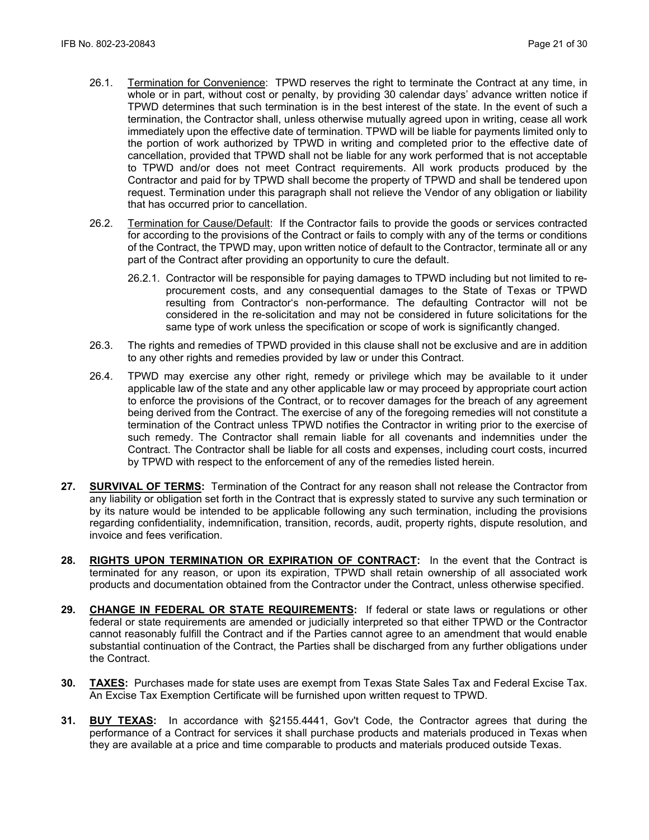- 26.1. Termination for Convenience: TPWD reserves the right to terminate the Contract at any time, in whole or in part, without cost or penalty, by providing 30 calendar days' advance written notice if TPWD determines that such termination is in the best interest of the state. In the event of such a termination, the Contractor shall, unless otherwise mutually agreed upon in writing, cease all work immediately upon the effective date of termination. TPWD will be liable for payments limited only to the portion of work authorized by TPWD in writing and completed prior to the effective date of cancellation, provided that TPWD shall not be liable for any work performed that is not acceptable to TPWD and/or does not meet Contract requirements. All work products produced by the Contractor and paid for by TPWD shall become the property of TPWD and shall be tendered upon request. Termination under this paragraph shall not relieve the Vendor of any obligation or liability that has occurred prior to cancellation.
- 26.2. Termination for Cause/Default: If the Contractor fails to provide the goods or services contracted for according to the provisions of the Contract or fails to comply with any of the terms or conditions of the Contract, the TPWD may, upon written notice of default to the Contractor, terminate all or any part of the Contract after providing an opportunity to cure the default.
	- 26.2.1. Contractor will be responsible for paying damages to TPWD including but not limited to reprocurement costs, and any consequential damages to the State of Texas or TPWD resulting from Contractor's non-performance. The defaulting Contractor will not be considered in the re-solicitation and may not be considered in future solicitations for the same type of work unless the specification or scope of work is significantly changed.
- 26.3. The rights and remedies of TPWD provided in this clause shall not be exclusive and are in addition to any other rights and remedies provided by law or under this Contract.
- 26.4. TPWD may exercise any other right, remedy or privilege which may be available to it under applicable law of the state and any other applicable law or may proceed by appropriate court action to enforce the provisions of the Contract, or to recover damages for the breach of any agreement being derived from the Contract. The exercise of any of the foregoing remedies will not constitute a termination of the Contract unless TPWD notifies the Contractor in writing prior to the exercise of such remedy. The Contractor shall remain liable for all covenants and indemnities under the Contract. The Contractor shall be liable for all costs and expenses, including court costs, incurred by TPWD with respect to the enforcement of any of the remedies listed herein.
- **27. SURVIVAL OF TERMS:** Termination of the Contract for any reason shall not release the Contractor from any liability or obligation set forth in the Contract that is expressly stated to survive any such termination or by its nature would be intended to be applicable following any such termination, including the provisions regarding confidentiality, indemnification, transition, records, audit, property rights, dispute resolution, and invoice and fees verification.
- **28. RIGHTS UPON TERMINATION OR EXPIRATION OF CONTRACT:** In the event that the Contract is terminated for any reason, or upon its expiration, TPWD shall retain ownership of all associated work products and documentation obtained from the Contractor under the Contract, unless otherwise specified.
- **29. CHANGE IN FEDERAL OR STATE REQUIREMENTS:** If federal or state laws or regulations or other federal or state requirements are amended or judicially interpreted so that either TPWD or the Contractor cannot reasonably fulfill the Contract and if the Parties cannot agree to an amendment that would enable substantial continuation of the Contract, the Parties shall be discharged from any further obligations under the Contract.
- **30. TAXES:** Purchases made for state uses are exempt from Texas State Sales Tax and Federal Excise Tax. An Excise Tax Exemption Certificate will be furnished upon written request to TPWD.
- **31. BUY TEXAS:** In accordance with §2155.4441, Gov't Code, the Contractor agrees that during the performance of a Contract for services it shall purchase products and materials produced in Texas when they are available at a price and time comparable to products and materials produced outside Texas.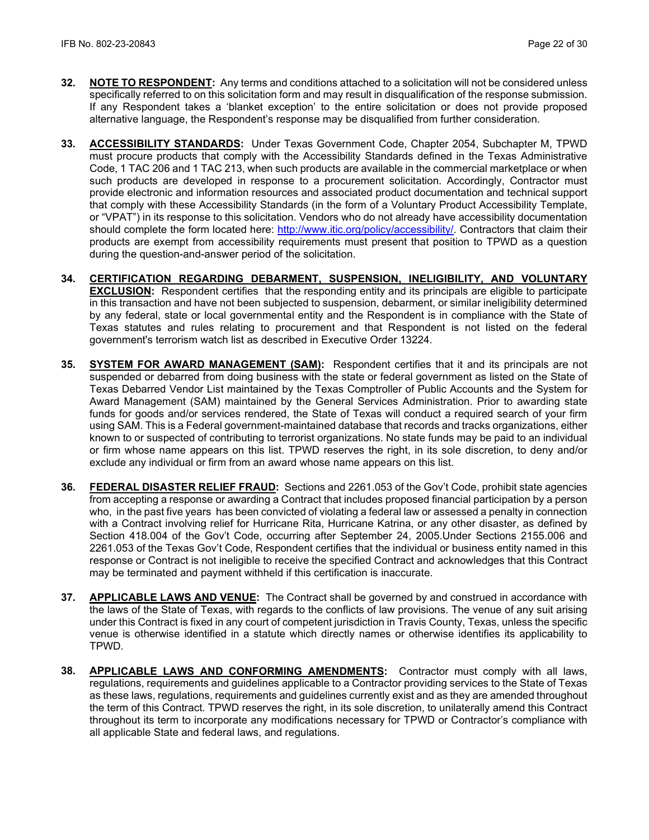- **32. NOTE TO RESPONDENT:** Any terms and conditions attached to a solicitation will not be considered unless specifically referred to on this solicitation form and may result in disqualification of the response submission. If any Respondent takes a 'blanket exception' to the entire solicitation or does not provide proposed alternative language, the Respondent's response may be disqualified from further consideration.
- **33. ACCESSIBILITY STANDARDS:** Under Texas Government Code, Chapter 2054, Subchapter M, TPWD must procure products that comply with the Accessibility Standards defined in the Texas Administrative Code, 1 TAC 206 and 1 TAC 213, when such products are available in the commercial marketplace or when such products are developed in response to a procurement solicitation. Accordingly, Contractor must provide electronic and information resources and associated product documentation and technical support that comply with these Accessibility Standards (in the form of a Voluntary Product Accessibility Template, or "VPAT") in its response to this solicitation. Vendors who do not already have accessibility documentation should complete the form located here: [http://www.itic.org/policy/accessibility/.](http://www.itic.org/policy/accessibility/) Contractors that claim their products are exempt from accessibility requirements must present that position to TPWD as a question during the question-and-answer period of the solicitation.
- **34. CERTIFICATION REGARDING DEBARMENT, SUSPENSION, INELIGIBILITY, AND VOLUNTARY EXCLUSION:** Respondent certifies that the responding entity and its principals are eligible to participate in this transaction and have not been subjected to suspension, debarment, or similar ineligibility determined by any federal, state or local governmental entity and the Respondent is in compliance with the State of Texas statutes and rules relating to procurement and that Respondent is not listed on the federal government's terrorism watch list as described in Executive Order 13224.
- **35. SYSTEM FOR AWARD MANAGEMENT (SAM):** Respondent certifies that it and its principals are not suspended or debarred from doing business with the state or federal government as listed on the State of Texas Debarred Vendor List maintained by the Texas Comptroller of Public Accounts and the System for Award Management (SAM) maintained by the General Services Administration. Prior to awarding state funds for goods and/or services rendered, the State of Texas will conduct a required search of your firm using SAM. This is a Federal government-maintained database that records and tracks organizations, either known to or suspected of contributing to terrorist organizations. No state funds may be paid to an individual or firm whose name appears on this list. TPWD reserves the right, in its sole discretion, to deny and/or exclude any individual or firm from an award whose name appears on this list.
- **36. FEDERAL DISASTER RELIEF FRAUD:** Sections and 2261.053 of the Gov't Code, prohibit state agencies from accepting a response or awarding a Contract that includes proposed financial participation by a person who, in the past five years has been convicted of violating a federal law or assessed a penalty in connection with a Contract involving relief for Hurricane Rita, Hurricane Katrina, or any other disaster, as defined by Section 418.004 of the Gov't Code, occurring after September 24, 2005.Under Sections 2155.006 and 2261.053 of the Texas Gov't Code, Respondent certifies that the individual or business entity named in this response or Contract is not ineligible to receive the specified Contract and acknowledges that this Contract may be terminated and payment withheld if this certification is inaccurate.
- **37. APPLICABLE LAWS AND VENUE:** The Contract shall be governed by and construed in accordance with the laws of the State of Texas, with regards to the conflicts of law provisions. The venue of any suit arising under this Contract is fixed in any court of competent jurisdiction in Travis County, Texas, unless the specific venue is otherwise identified in a statute which directly names or otherwise identifies its applicability to TPWD.
- **38. APPLICABLE LAWS AND CONFORMING AMENDMENTS:** Contractor must comply with all laws, regulations, requirements and guidelines applicable to a Contractor providing services to the State of Texas as these laws, regulations, requirements and guidelines currently exist and as they are amended throughout the term of this Contract. TPWD reserves the right, in its sole discretion, to unilaterally amend this Contract throughout its term to incorporate any modifications necessary for TPWD or Contractor's compliance with all applicable State and federal laws, and regulations.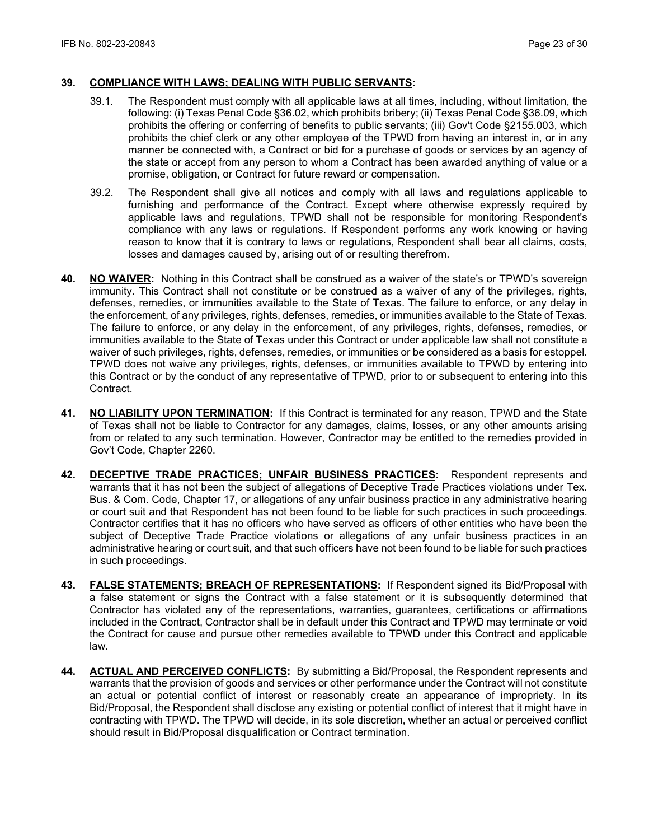#### **39. COMPLIANCE WITH LAWS; DEALING WITH PUBLIC SERVANTS:**

- 39.1. The Respondent must comply with all applicable laws at all times, including, without limitation, the following: (i) Texas Penal Code §36.02, which prohibits bribery; (ii) Texas Penal Code §36.09, which prohibits the offering or conferring of benefits to public servants; (iii) Gov't Code §2155.003, which prohibits the chief clerk or any other employee of the TPWD from having an interest in, or in any manner be connected with, a Contract or bid for a purchase of goods or services by an agency of the state or accept from any person to whom a Contract has been awarded anything of value or a promise, obligation, or Contract for future reward or compensation.
- 39.2. The Respondent shall give all notices and comply with all laws and regulations applicable to furnishing and performance of the Contract. Except where otherwise expressly required by applicable laws and regulations, TPWD shall not be responsible for monitoring Respondent's compliance with any laws or regulations. If Respondent performs any work knowing or having reason to know that it is contrary to laws or regulations, Respondent shall bear all claims, costs, losses and damages caused by, arising out of or resulting therefrom.
- **40. NO WAIVER:** Nothing in this Contract shall be construed as a waiver of the state's or TPWD's sovereign immunity. This Contract shall not constitute or be construed as a waiver of any of the privileges, rights, defenses, remedies, or immunities available to the State of Texas. The failure to enforce, or any delay in the enforcement, of any privileges, rights, defenses, remedies, or immunities available to the State of Texas. The failure to enforce, or any delay in the enforcement, of any privileges, rights, defenses, remedies, or immunities available to the State of Texas under this Contract or under applicable law shall not constitute a waiver of such privileges, rights, defenses, remedies, or immunities or be considered as a basis for estoppel. TPWD does not waive any privileges, rights, defenses, or immunities available to TPWD by entering into this Contract or by the conduct of any representative of TPWD, prior to or subsequent to entering into this Contract.
- **41. NO LIABILITY UPON TERMINATION:** If this Contract is terminated for any reason, TPWD and the State of Texas shall not be liable to Contractor for any damages, claims, losses, or any other amounts arising from or related to any such termination. However, Contractor may be entitled to the remedies provided in Gov't Code, Chapter 2260.
- **42. DECEPTIVE TRADE PRACTICES; UNFAIR BUSINESS PRACTICES:** Respondent represents and warrants that it has not been the subject of allegations of Deceptive Trade Practices violations under Tex. Bus. & Com. Code, Chapter 17, or allegations of any unfair business practice in any administrative hearing or court suit and that Respondent has not been found to be liable for such practices in such proceedings. Contractor certifies that it has no officers who have served as officers of other entities who have been the subject of Deceptive Trade Practice violations or allegations of any unfair business practices in an administrative hearing or court suit, and that such officers have not been found to be liable for such practices in such proceedings.
- **43. FALSE STATEMENTS; BREACH OF REPRESENTATIONS:** If Respondent signed its Bid/Proposal with a false statement or signs the Contract with a false statement or it is subsequently determined that Contractor has violated any of the representations, warranties, guarantees, certifications or affirmations included in the Contract, Contractor shall be in default under this Contract and TPWD may terminate or void the Contract for cause and pursue other remedies available to TPWD under this Contract and applicable law.
- **44. ACTUAL AND PERCEIVED CONFLICTS:** By submitting a Bid/Proposal, the Respondent represents and warrants that the provision of goods and services or other performance under the Contract will not constitute an actual or potential conflict of interest or reasonably create an appearance of impropriety. In its Bid/Proposal, the Respondent shall disclose any existing or potential conflict of interest that it might have in contracting with TPWD. The TPWD will decide, in its sole discretion, whether an actual or perceived conflict should result in Bid/Proposal disqualification or Contract termination.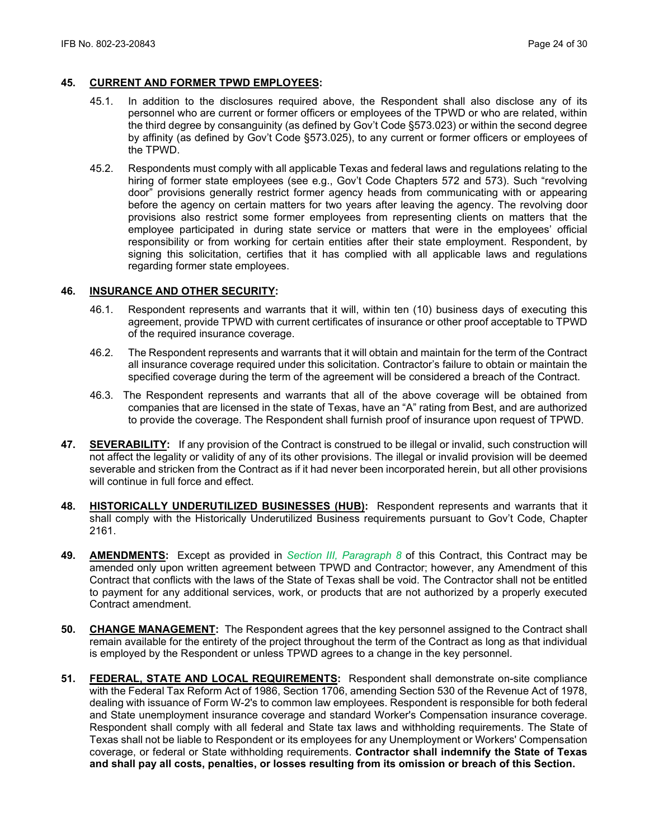#### **45. CURRENT AND FORMER TPWD EMPLOYEES:**

- 45.1. In addition to the disclosures required above, the Respondent shall also disclose any of its personnel who are current or former officers or employees of the TPWD or who are related, within the third degree by consanguinity (as defined by Gov't Code §573.023) or within the second degree by affinity (as defined by Gov't Code §573.025), to any current or former officers or employees of the TPWD.
- 45.2. Respondents must comply with all applicable Texas and federal laws and regulations relating to the hiring of former state employees (see e.g., Gov't Code Chapters 572 and 573). Such "revolving door" provisions generally restrict former agency heads from communicating with or appearing before the agency on certain matters for two years after leaving the agency. The revolving door provisions also restrict some former employees from representing clients on matters that the employee participated in during state service or matters that were in the employees' official responsibility or from working for certain entities after their state employment. Respondent, by signing this solicitation, certifies that it has complied with all applicable laws and regulations regarding former state employees.

#### **46. INSURANCE AND OTHER SECURITY:**

- 46.1. Respondent represents and warrants that it will, within ten (10) business days of executing this agreement, provide TPWD with current certificates of insurance or other proof acceptable to TPWD of the required insurance coverage.
- 46.2. The Respondent represents and warrants that it will obtain and maintain for the term of the Contract all insurance coverage required under this solicitation. Contractor's failure to obtain or maintain the specified coverage during the term of the agreement will be considered a breach of the Contract.
- 46.3. The Respondent represents and warrants that all of the above coverage will be obtained from companies that are licensed in the state of Texas, have an "A" rating from Best, and are authorized to provide the coverage. The Respondent shall furnish proof of insurance upon request of TPWD.
- **47. SEVERABILITY:** If any provision of the Contract is construed to be illegal or invalid, such construction will not affect the legality or validity of any of its other provisions. The illegal or invalid provision will be deemed severable and stricken from the Contract as if it had never been incorporated herein, but all other provisions will continue in full force and effect.
- **48. HISTORICALLY UNDERUTILIZED BUSINESSES (HUB):** Respondent represents and warrants that it shall comply with the Historically Underutilized Business requirements pursuant to Gov't Code, Chapter 2161.
- **49. AMENDMENTS:** Except as provided in *Section III, Paragraph 8* of this Contract, this Contract may be amended only upon written agreement between TPWD and Contractor; however, any Amendment of this Contract that conflicts with the laws of the State of Texas shall be void. The Contractor shall not be entitled to payment for any additional services, work, or products that are not authorized by a properly executed Contract amendment.
- **50. CHANGE MANAGEMENT:** The Respondent agrees that the key personnel assigned to the Contract shall remain available for the entirety of the project throughout the term of the Contract as long as that individual is employed by the Respondent or unless TPWD agrees to a change in the key personnel.
- **51. FEDERAL, STATE AND LOCAL REQUIREMENTS:** Respondent shall demonstrate on-site compliance with the Federal Tax Reform Act of 1986, Section 1706, amending Section 530 of the Revenue Act of 1978, dealing with issuance of Form W-2's to common law employees. Respondent is responsible for both federal and State unemployment insurance coverage and standard Worker's Compensation insurance coverage. Respondent shall comply with all federal and State tax laws and withholding requirements. The State of Texas shall not be liable to Respondent or its employees for any Unemployment or Workers' Compensation coverage, or federal or State withholding requirements. **Contractor shall indemnify the State of Texas and shall pay all costs, penalties, or losses resulting from its omission or breach of this Section.**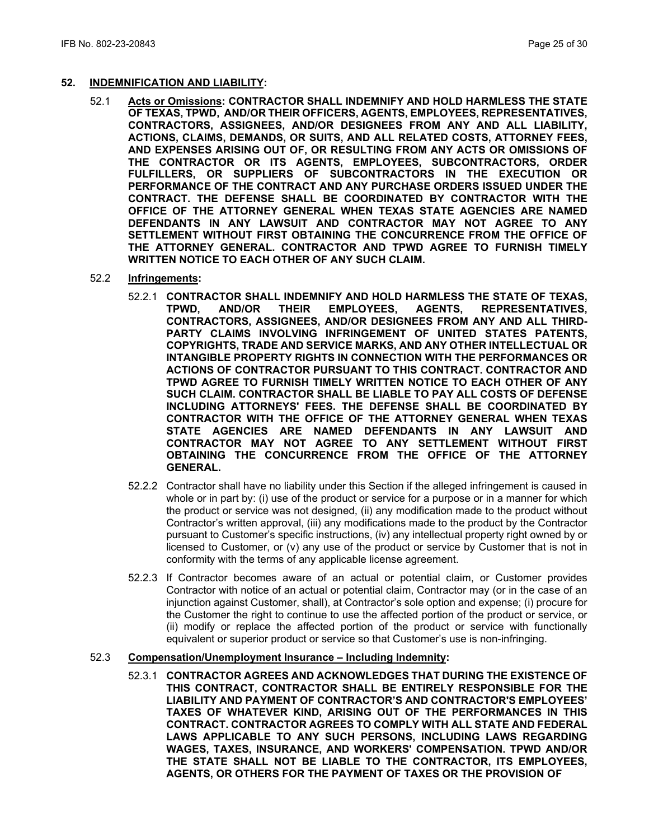#### **52. INDEMNIFICATION AND LIABILITY:**

- 52.1 **Acts or Omissions: CONTRACTOR SHALL INDEMNIFY AND HOLD HARMLESS THE STATE OF TEXAS, TPWD, AND/OR THEIR OFFICERS, AGENTS, EMPLOYEES, REPRESENTATIVES, CONTRACTORS, ASSIGNEES, AND/OR DESIGNEES FROM ANY AND ALL LIABILITY, ACTIONS, CLAIMS, DEMANDS, OR SUITS, AND ALL RELATED COSTS, ATTORNEY FEES, AND EXPENSES ARISING OUT OF, OR RESULTING FROM ANY ACTS OR OMISSIONS OF THE CONTRACTOR OR ITS AGENTS, EMPLOYEES, SUBCONTRACTORS, ORDER FULFILLERS, OR SUPPLIERS OF SUBCONTRACTORS IN THE EXECUTION OR PERFORMANCE OF THE CONTRACT AND ANY PURCHASE ORDERS ISSUED UNDER THE CONTRACT. THE DEFENSE SHALL BE COORDINATED BY CONTRACTOR WITH THE OFFICE OF THE ATTORNEY GENERAL WHEN TEXAS STATE AGENCIES ARE NAMED DEFENDANTS IN ANY LAWSUIT AND CONTRACTOR MAY NOT AGREE TO ANY SETTLEMENT WITHOUT FIRST OBTAINING THE CONCURRENCE FROM THE OFFICE OF THE ATTORNEY GENERAL. CONTRACTOR AND TPWD AGREE TO FURNISH TIMELY WRITTEN NOTICE TO EACH OTHER OF ANY SUCH CLAIM.**
- 52.2 **Infringements:** 
	- 52.2.1 **CONTRACTOR SHALL INDEMNIFY AND HOLD HARMLESS THE STATE OF TEXAS, REPRESENTATIVES, CONTRACTORS, ASSIGNEES, AND/OR DESIGNEES FROM ANY AND ALL THIRD-PARTY CLAIMS INVOLVING INFRINGEMENT OF UNITED STATES PATENTS, COPYRIGHTS, TRADE AND SERVICE MARKS, AND ANY OTHER INTELLECTUAL OR INTANGIBLE PROPERTY RIGHTS IN CONNECTION WITH THE PERFORMANCES OR ACTIONS OF CONTRACTOR PURSUANT TO THIS CONTRACT. CONTRACTOR AND TPWD AGREE TO FURNISH TIMELY WRITTEN NOTICE TO EACH OTHER OF ANY SUCH CLAIM. CONTRACTOR SHALL BE LIABLE TO PAY ALL COSTS OF DEFENSE INCLUDING ATTORNEYS' FEES. THE DEFENSE SHALL BE COORDINATED BY CONTRACTOR WITH THE OFFICE OF THE ATTORNEY GENERAL WHEN TEXAS STATE AGENCIES ARE NAMED DEFENDANTS IN ANY LAWSUIT AND CONTRACTOR MAY NOT AGREE TO ANY SETTLEMENT WITHOUT FIRST OBTAINING THE CONCURRENCE FROM THE OFFICE OF THE ATTORNEY GENERAL.**
	- 52.2.2 Contractor shall have no liability under this Section if the alleged infringement is caused in whole or in part by: (i) use of the product or service for a purpose or in a manner for which the product or service was not designed, (ii) any modification made to the product without Contractor's written approval, (iii) any modifications made to the product by the Contractor pursuant to Customer's specific instructions, (iv) any intellectual property right owned by or licensed to Customer, or (v) any use of the product or service by Customer that is not in conformity with the terms of any applicable license agreement.
	- 52.2.3 If Contractor becomes aware of an actual or potential claim, or Customer provides Contractor with notice of an actual or potential claim, Contractor may (or in the case of an injunction against Customer, shall), at Contractor's sole option and expense; (i) procure for the Customer the right to continue to use the affected portion of the product or service, or (ii) modify or replace the affected portion of the product or service with functionally equivalent or superior product or service so that Customer's use is non-infringing.

#### 52.3 **Compensation/Unemployment Insurance – Including Indemnity:**

52.3.1 **CONTRACTOR AGREES AND ACKNOWLEDGES THAT DURING THE EXISTENCE OF THIS CONTRACT, CONTRACTOR SHALL BE ENTIRELY RESPONSIBLE FOR THE LIABILITY AND PAYMENT OF CONTRACTOR'S AND CONTRACTOR'S EMPLOYEES' TAXES OF WHATEVER KIND, ARISING OUT OF THE PERFORMANCES IN THIS CONTRACT. CONTRACTOR AGREES TO COMPLY WITH ALL STATE AND FEDERAL LAWS APPLICABLE TO ANY SUCH PERSONS, INCLUDING LAWS REGARDING WAGES, TAXES, INSURANCE, AND WORKERS' COMPENSATION. TPWD AND/OR THE STATE SHALL NOT BE LIABLE TO THE CONTRACTOR, ITS EMPLOYEES, AGENTS, OR OTHERS FOR THE PAYMENT OF TAXES OR THE PROVISION OF**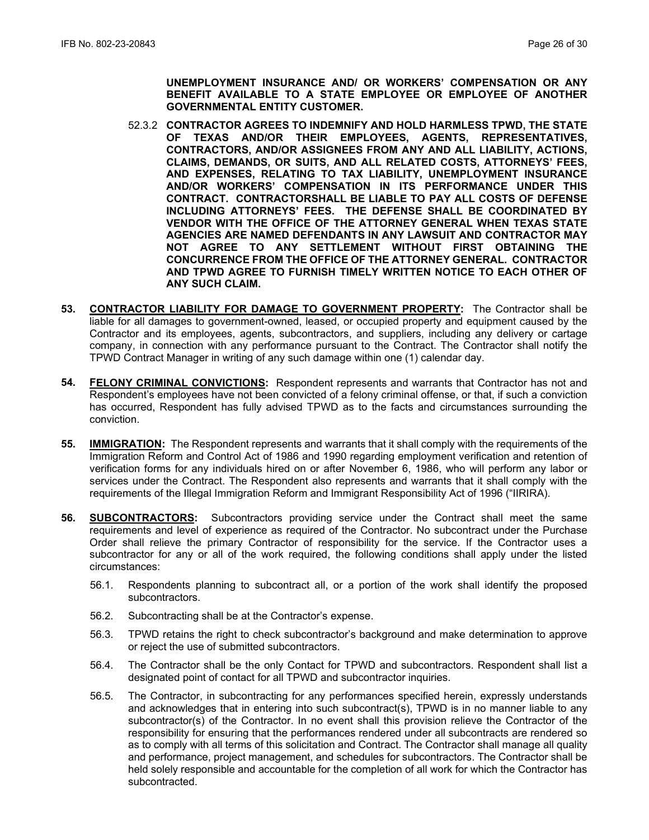**UNEMPLOYMENT INSURANCE AND/ OR WORKERS' COMPENSATION OR ANY BENEFIT AVAILABLE TO A STATE EMPLOYEE OR EMPLOYEE OF ANOTHER GOVERNMENTAL ENTITY CUSTOMER.**

- 52.3.2 **CONTRACTOR AGREES TO INDEMNIFY AND HOLD HARMLESS TPWD, THE STATE OF TEXAS AND/OR THEIR EMPLOYEES, AGENTS, REPRESENTATIVES, CONTRACTORS, AND/OR ASSIGNEES FROM ANY AND ALL LIABILITY, ACTIONS, CLAIMS, DEMANDS, OR SUITS, AND ALL RELATED COSTS, ATTORNEYS' FEES, AND EXPENSES, RELATING TO TAX LIABILITY, UNEMPLOYMENT INSURANCE AND/OR WORKERS' COMPENSATION IN ITS PERFORMANCE UNDER THIS CONTRACT. CONTRACTORSHALL BE LIABLE TO PAY ALL COSTS OF DEFENSE INCLUDING ATTORNEYS' FEES. THE DEFENSE SHALL BE COORDINATED BY VENDOR WITH THE OFFICE OF THE ATTORNEY GENERAL WHEN TEXAS STATE AGENCIES ARE NAMED DEFENDANTS IN ANY LAWSUIT AND CONTRACTOR MAY NOT AGREE TO ANY SETTLEMENT WITHOUT FIRST OBTAINING THE CONCURRENCE FROM THE OFFICE OF THE ATTORNEY GENERAL. CONTRACTOR AND TPWD AGREE TO FURNISH TIMELY WRITTEN NOTICE TO EACH OTHER OF ANY SUCH CLAIM.**
- **53. CONTRACTOR LIABILITY FOR DAMAGE TO GOVERNMENT PROPERTY:** The Contractor shall be liable for all damages to government-owned, leased, or occupied property and equipment caused by the Contractor and its employees, agents, subcontractors, and suppliers, including any delivery or cartage company, in connection with any performance pursuant to the Contract. The Contractor shall notify the TPWD Contract Manager in writing of any such damage within one (1) calendar day.
- **54. FELONY CRIMINAL CONVICTIONS:** Respondent represents and warrants that Contractor has not and Respondent's employees have not been convicted of a felony criminal offense, or that, if such a conviction has occurred, Respondent has fully advised TPWD as to the facts and circumstances surrounding the conviction.
- **55. IMMIGRATION:** The Respondent represents and warrants that it shall comply with the requirements of the Immigration Reform and Control Act of 1986 and 1990 regarding employment verification and retention of verification forms for any individuals hired on or after November 6, 1986, who will perform any labor or services under the Contract. The Respondent also represents and warrants that it shall comply with the requirements of the Illegal Immigration Reform and Immigrant Responsibility Act of 1996 ("IIRIRA).
- **56. SUBCONTRACTORS:** Subcontractors providing service under the Contract shall meet the same requirements and level of experience as required of the Contractor. No subcontract under the Purchase Order shall relieve the primary Contractor of responsibility for the service. If the Contractor uses a subcontractor for any or all of the work required, the following conditions shall apply under the listed circumstances:
	- 56.1. Respondents planning to subcontract all, or a portion of the work shall identify the proposed subcontractors.
	- 56.2. Subcontracting shall be at the Contractor's expense.
	- 56.3. TPWD retains the right to check subcontractor's background and make determination to approve or reject the use of submitted subcontractors.
	- 56.4. The Contractor shall be the only Contact for TPWD and subcontractors. Respondent shall list a designated point of contact for all TPWD and subcontractor inquiries.
	- 56.5. The Contractor, in subcontracting for any performances specified herein, expressly understands and acknowledges that in entering into such subcontract(s), TPWD is in no manner liable to any subcontractor(s) of the Contractor. In no event shall this provision relieve the Contractor of the responsibility for ensuring that the performances rendered under all subcontracts are rendered so as to comply with all terms of this solicitation and Contract. The Contractor shall manage all quality and performance, project management, and schedules for subcontractors. The Contractor shall be held solely responsible and accountable for the completion of all work for which the Contractor has subcontracted.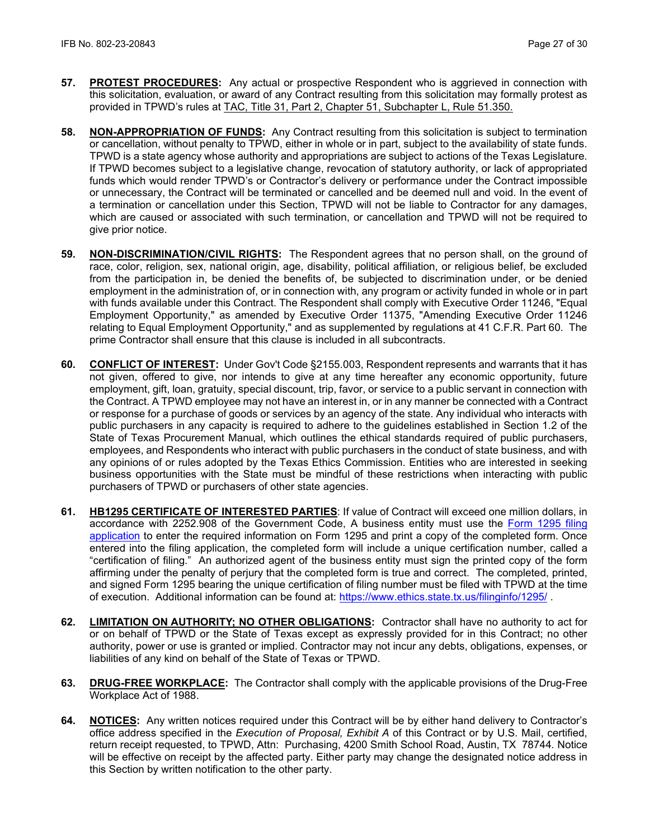- **57. PROTEST PROCEDURES:** Any actual or prospective Respondent who is aggrieved in connection with this solicitation, evaluation, or award of any Contract resulting from this solicitation may formally protest as provided in TPWD's rules at [TAC, Title 31, Part 2, Chapter 51, Subchapter L, Rule 51.350.](http://texreg.sos.state.tx.us/public/readtac$ext.TacPage?sl=R&app=9&p_dir=&p_rloc=&p_tloc=&p_ploc=&pg=1&p_tac=&ti=31&pt=2&ch=51&rl=350)
- **58. NON-APPROPRIATION OF FUNDS:** Any Contract resulting from this solicitation is subject to termination or cancellation, without penalty to TPWD, either in whole or in part, subject to the availability of state funds. TPWD is a state agency whose authority and appropriations are subject to actions of the Texas Legislature. If TPWD becomes subject to a legislative change, revocation of statutory authority, or lack of appropriated funds which would render TPWD's or Contractor's delivery or performance under the Contract impossible or unnecessary, the Contract will be terminated or cancelled and be deemed null and void. In the event of a termination or cancellation under this Section, TPWD will not be liable to Contractor for any damages, which are caused or associated with such termination, or cancellation and TPWD will not be required to give prior notice.
- **59. NON-DISCRIMINATION/CIVIL RIGHTS:** The Respondent agrees that no person shall, on the ground of race, color, religion, sex, national origin, age, disability, political affiliation, or religious belief, be excluded from the participation in, be denied the benefits of, be subjected to discrimination under, or be denied employment in the administration of, or in connection with, any program or activity funded in whole or in part with funds available under this Contract. The Respondent shall comply with Executive Order 11246, "Equal Employment Opportunity," as amended by Executive Order 11375, "Amending Executive Order 11246 relating to Equal Employment Opportunity," and as supplemented by regulations at 41 C.F.R. Part 60. The prime Contractor shall ensure that this clause is included in all subcontracts.
- **60. CONFLICT OF INTEREST:** Under Gov't Code §2155.003, Respondent represents and warrants that it has not given, offered to give, nor intends to give at any time hereafter any economic opportunity, future employment, gift, loan, gratuity, special discount, trip, favor, or service to a public servant in connection with the Contract. A TPWD employee may not have an interest in, or in any manner be connected with a Contract or response for a purchase of goods or services by an agency of the state. Any individual who interacts with public purchasers in any capacity is required to adhere to the guidelines established in Section 1.2 of the State of Texas Procurement Manual, which outlines the ethical standards required of public purchasers, employees, and Respondents who interact with public purchasers in the conduct of state business, and with any opinions of or rules adopted by the Texas Ethics Commission. Entities who are interested in seeking business opportunities with the State must be mindful of these restrictions when interacting with public purchasers of TPWD or purchasers of other state agencies.
- **61. HB1295 CERTIFICATE OF INTERESTED PARTIES**: If value of Contract will exceed one million dollars, in accordance with 2252.908 of the Government Code, A business entity must use the [Form 1295 filing](https://www.ethics.state.tx.us/whatsnew/elf_info_form1295.htm)  [application](https://www.ethics.state.tx.us/whatsnew/elf_info_form1295.htm) to enter the required information on Form 1295 and print a copy of the completed form. Once entered into the filing application, the completed form will include a unique certification number, called a "certification of filing." An authorized agent of the business entity must sign the printed copy of the form affirming under the penalty of perjury that the completed form is true and correct. The completed, printed, and signed Form 1295 bearing the unique certification of filing number must be filed with TPWD at the time of execution. Additional information can be found at:<https://www.ethics.state.tx.us/filinginfo/1295/> .
- **62. LIMITATION ON AUTHORITY; NO OTHER OBLIGATIONS:** Contractor shall have no authority to act for or on behalf of TPWD or the State of Texas except as expressly provided for in this Contract; no other authority, power or use is granted or implied. Contractor may not incur any debts, obligations, expenses, or liabilities of any kind on behalf of the State of Texas or TPWD.
- **63. DRUG-FREE WORKPLACE:** The Contractor shall comply with the applicable provisions of the Drug-Free Workplace Act of 1988.
- **64. NOTICES:** Any written notices required under this Contract will be by either hand delivery to Contractor's office address specified in the *Execution of Proposal, Exhibit A* of this Contract or by U.S. Mail, certified, return receipt requested, to TPWD, Attn: Purchasing, 4200 Smith School Road, Austin, TX 78744*.* Notice will be effective on receipt by the affected party. Either party may change the designated notice address in this Section by written notification to the other party.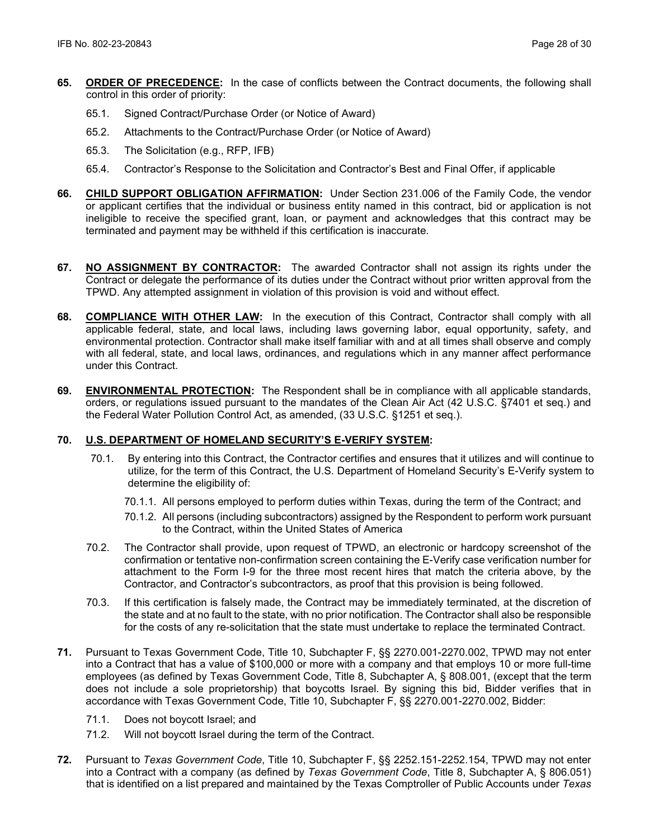- **65. ORDER OF PRECEDENCE:** In the case of conflicts between the Contract documents, the following shall control in this order of priority:
	- 65.1. Signed Contract/Purchase Order (or Notice of Award)
	- 65.2. Attachments to the Contract/Purchase Order (or Notice of Award)
	- 65.3. The Solicitation (e.g., RFP, IFB)
	- 65.4. Contractor's Response to the Solicitation and Contractor's Best and Final Offer, if applicable
- **66. CHILD SUPPORT OBLIGATION AFFIRMATION:** Under Section 231.006 of the Family Code, the vendor or applicant certifies that the individual or business entity named in this contract, bid or application is not ineligible to receive the specified grant, loan, or payment and acknowledges that this contract may be terminated and payment may be withheld if this certification is inaccurate.
- **67. NO ASSIGNMENT BY CONTRACTOR:** The awarded Contractor shall not assign its rights under the Contract or delegate the performance of its duties under the Contract without prior written approval from the TPWD. Any attempted assignment in violation of this provision is void and without effect.
- **68. COMPLIANCE WITH OTHER LAW:** In the execution of this Contract, Contractor shall comply with all applicable federal, state, and local laws, including laws governing labor, equal opportunity, safety, and environmental protection. Contractor shall make itself familiar with and at all times shall observe and comply with all federal, state, and local laws, ordinances, and regulations which in any manner affect performance under this Contract.
- **69. ENVIRONMENTAL PROTECTION:** The Respondent shall be in compliance with all applicable standards, orders, or regulations issued pursuant to the mandates of the Clean Air Act (42 U.S.C. §7401 et seq.) and the Federal Water Pollution Control Act, as amended, (33 U.S.C. §1251 et seq.).

# **70. U.S. DEPARTMENT OF HOMELAND SECURITY'S E-VERIFY SYSTEM:**

- 70.1. By entering into this Contract, the Contractor certifies and ensures that it utilizes and will continue to utilize, for the term of this Contract, the U.S. Department of Homeland Security's E-Verify system to determine the eligibility of:
	- 70.1.1. All persons employed to perform duties within Texas, during the term of the Contract; and
	- 70.1.2. All persons (including subcontractors) assigned by the Respondent to perform work pursuant to the Contract, within the United States of America
- 70.2. The Contractor shall provide, upon request of TPWD, an electronic or hardcopy screenshot of the confirmation or tentative non-confirmation screen containing the E-Verify case verification number for attachment to the Form I-9 for the three most recent hires that match the criteria above, by the Contractor, and Contractor's subcontractors, as proof that this provision is being followed.
- 70.3. If this certification is falsely made, the Contract may be immediately terminated, at the discretion of the state and at no fault to the state, with no prior notification. The Contractor shall also be responsible for the costs of any re-solicitation that the state must undertake to replace the terminated Contract.
- **71.** Pursuant to Texas Government Code, Title 10, Subchapter F, §§ 2270.001-2270.002, TPWD may not enter into a Contract that has a value of \$100,000 or more with a company and that employs 10 or more full-time employees (as defined by Texas Government Code, Title 8, Subchapter A, § 808.001, (except that the term does not include a sole proprietorship) that boycotts Israel. By signing this bid, Bidder verifies that in accordance with Texas Government Code, Title 10, Subchapter F, §§ 2270.001-2270.002, Bidder:
	- 71.1. Does not boycott Israel; and
	- 71.2. Will not boycott Israel during the term of the Contract.
- **72.** Pursuant to *Texas Government Code*, Title 10, Subchapter F, §§ 2252.151-2252.154, TPWD may not enter into a Contract with a company (as defined by *Texas Government Code*, Title 8, Subchapter A, § 806.051) that is identified on a list prepared and maintained by the Texas Comptroller of Public Accounts under *Texas*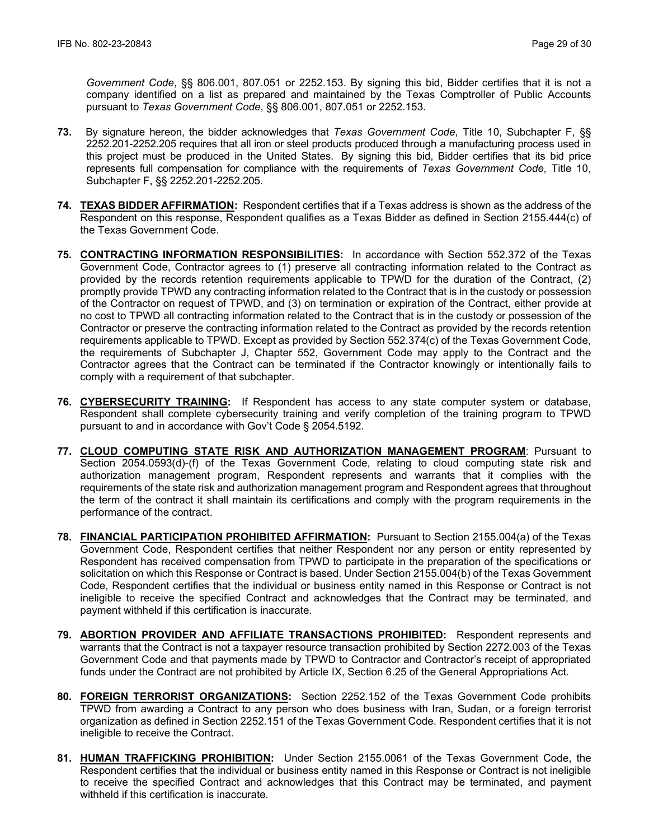*Government Code*, §§ 806.001, 807.051 or 2252.153. By signing this bid, Bidder certifies that it is not a company identified on a list as prepared and maintained by the Texas Comptroller of Public Accounts pursuant to *Texas Government Code*, §§ 806.001, 807.051 or 2252.153.

- **73.** By signature hereon, the bidder acknowledges that *Texas Government Code*, Title 10, Subchapter F, §§ 2252.201-2252.205 requires that all iron or steel products produced through a manufacturing process used in this project must be produced in the United States. By signing this bid, Bidder certifies that its bid price represents full compensation for compliance with the requirements of *Texas Government Code*, Title 10, Subchapter F, §§ 2252.201-2252.205.
- **74. TEXAS BIDDER AFFIRMATION:** Respondent certifies that if a Texas address is shown as the address of the Respondent on this response, Respondent qualifies as a Texas Bidder as defined in Section 2155.444(c) of the Texas Government Code.
- **75. CONTRACTING INFORMATION RESPONSIBILITIES:** In accordance with Section 552.372 of the Texas Government Code, Contractor agrees to (1) preserve all contracting information related to the Contract as provided by the records retention requirements applicable to TPWD for the duration of the Contract, (2) promptly provide TPWD any contracting information related to the Contract that is in the custody or possession of the Contractor on request of TPWD, and (3) on termination or expiration of the Contract, either provide at no cost to TPWD all contracting information related to the Contract that is in the custody or possession of the Contractor or preserve the contracting information related to the Contract as provided by the records retention requirements applicable to TPWD. Except as provided by Section 552.374(c) of the Texas Government Code, the requirements of Subchapter J, Chapter 552, Government Code may apply to the Contract and the Contractor agrees that the Contract can be terminated if the Contractor knowingly or intentionally fails to comply with a requirement of that subchapter.
- **76. CYBERSECURITY TRAINING:** If Respondent has access to any state computer system or database, Respondent shall complete cybersecurity training and verify completion of the training program to TPWD pursuant to and in accordance with Gov't Code § 2054.5192.
- **77. CLOUD COMPUTING STATE RISK AND AUTHORIZATION MANAGEMENT PROGRAM**: Pursuant to Section 2054.0593(d)-(f) of the Texas Government Code, relating to cloud computing state risk and authorization management program, Respondent represents and warrants that it complies with the requirements of the state risk and authorization management program and Respondent agrees that throughout the term of the contract it shall maintain its certifications and comply with the program requirements in the performance of the contract.
- **78. FINANCIAL PARTICIPATION PROHIBITED AFFIRMATION:** Pursuant to Section 2155.004(a) of the Texas Government Code, Respondent certifies that neither Respondent nor any person or entity represented by Respondent has received compensation from TPWD to participate in the preparation of the specifications or solicitation on which this Response or Contract is based. Under Section 2155.004(b) of the Texas Government Code, Respondent certifies that the individual or business entity named in this Response or Contract is not ineligible to receive the specified Contract and acknowledges that the Contract may be terminated, and payment withheld if this certification is inaccurate.
- **79. ABORTION PROVIDER AND AFFILIATE TRANSACTIONS PROHIBITED:** Respondent represents and warrants that the Contract is not a taxpayer resource transaction prohibited by Section 2272.003 of the Texas Government Code and that payments made by TPWD to Contractor and Contractor's receipt of appropriated funds under the Contract are not prohibited by Article IX, Section 6.25 of the General Appropriations Act.
- **80. FOREIGN TERRORIST ORGANIZATIONS:** Section 2252.152 of the Texas Government Code prohibits TPWD from awarding a Contract to any person who does business with Iran, Sudan, or a foreign terrorist organization as defined in Section 2252.151 of the Texas Government Code. Respondent certifies that it is not ineligible to receive the Contract.
- **81. HUMAN TRAFFICKING PROHIBITION:** Under Section 2155.0061 of the Texas Government Code, the Respondent certifies that the individual or business entity named in this Response or Contract is not ineligible to receive the specified Contract and acknowledges that this Contract may be terminated, and payment withheld if this certification is inaccurate.